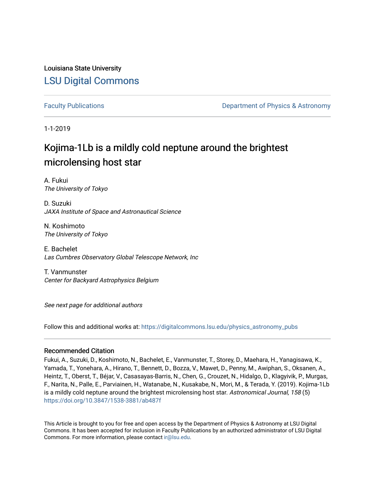Louisiana State University [LSU Digital Commons](https://digitalcommons.lsu.edu/)

[Faculty Publications](https://digitalcommons.lsu.edu/physics_astronomy_pubs) **Example 2** Constant Department of Physics & Astronomy

1-1-2019

# Kojima-1Lb is a mildly cold neptune around the brightest microlensing host star

A. Fukui The University of Tokyo

D. Suzuki JAXA Institute of Space and Astronautical Science

N. Koshimoto The University of Tokyo

E. Bachelet Las Cumbres Observatory Global Telescope Network, Inc

T. Vanmunster Center for Backyard Astrophysics Belgium

See next page for additional authors

Follow this and additional works at: [https://digitalcommons.lsu.edu/physics\\_astronomy\\_pubs](https://digitalcommons.lsu.edu/physics_astronomy_pubs?utm_source=digitalcommons.lsu.edu%2Fphysics_astronomy_pubs%2F4152&utm_medium=PDF&utm_campaign=PDFCoverPages) 

## Recommended Citation

Fukui, A., Suzuki, D., Koshimoto, N., Bachelet, E., Vanmunster, T., Storey, D., Maehara, H., Yanagisawa, K., Yamada, T., Yonehara, A., Hirano, T., Bennett, D., Bozza, V., Mawet, D., Penny, M., Awiphan, S., Oksanen, A., Heintz, T., Oberst, T., Béjar, V., Casasayas-Barris, N., Chen, G., Crouzet, N., Hidalgo, D., Klagyivik, P., Murgas, F., Narita, N., Palle, E., Parviainen, H., Watanabe, N., Kusakabe, N., Mori, M., & Terada, Y. (2019). Kojima-1Lb is a mildly cold neptune around the brightest microlensing host star. Astronomical Journal, 158 (5) <https://doi.org/10.3847/1538-3881/ab487f>

This Article is brought to you for free and open access by the Department of Physics & Astronomy at LSU Digital Commons. It has been accepted for inclusion in Faculty Publications by an authorized administrator of LSU Digital Commons. For more information, please contact [ir@lsu.edu](mailto:ir@lsu.edu).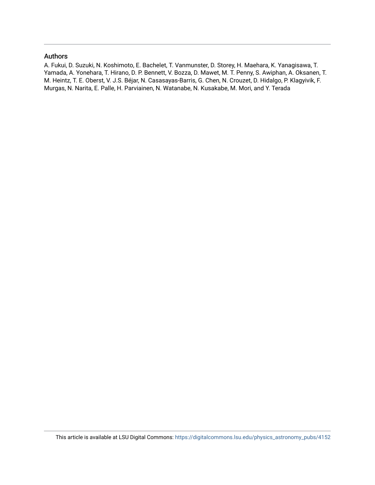# Authors

A. Fukui, D. Suzuki, N. Koshimoto, E. Bachelet, T. Vanmunster, D. Storey, H. Maehara, K. Yanagisawa, T. Yamada, A. Yonehara, T. Hirano, D. P. Bennett, V. Bozza, D. Mawet, M. T. Penny, S. Awiphan, A. Oksanen, T. M. Heintz, T. E. Oberst, V. J.S. Béjar, N. Casasayas-Barris, G. Chen, N. Crouzet, D. Hidalgo, P. Klagyivik, F. Murgas, N. Narita, E. Palle, H. Parviainen, N. Watanabe, N. Kusakabe, M. Mori, and Y. Terada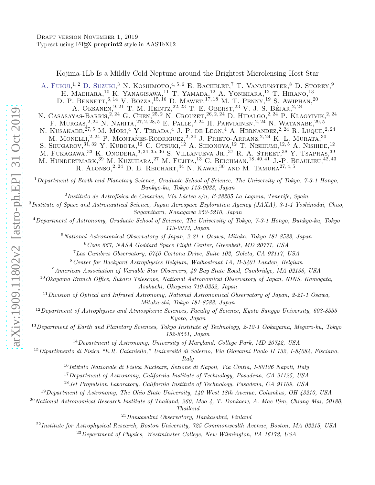Kojima-1Lb Is a Mildly Cold Neptune around the Brightest Microlensing Host Star

A. FUKUI,<sup>1,2</sup> D. SUZUKI,<sup>3</sup> N. KOSHIMOTO,<sup>4,5,6</sup> E. BACHELET,<sup>7</sup> T. VANMUNSTER,<sup>8</sup> D. STOREY,<sup>9</sup>

H. MAEHARA,<sup>10</sup> K. YANAGISAWA,<sup>11</sup> T. YAMADA,<sup>12</sup> A. YONEHARA,<sup>12</sup> T. HIRANO,<sup>13</sup>

D. P. BENNETT,  $^{6,14}$  V. Bozza,  $^{15,16}$  D. Mawet,  $^{17,18}$  M. T. Penny,  $^{19}$  S. Awiphan,  $^{20}$ 

A. OKSANEN,  $^{9, 21}$  T. M. HEINTZ,  $^{22, 23}$  T. E. Oberst,  $^{23}$  V. J. S. BÉJAR,  $^{2, 24}$ 

N. CASASAYAS-BARRIS,<sup>2, 24</sup> G. CHEN,<sup>25, 2</sup> N. CROUZET,<sup>26, 2, 24</sup> D. HIDALGO,<sup>2, 24</sup> P. KLAGYIVIK,<sup>2, 24</sup>

F. MURGAS,<sup>2, 24</sup> N. NARITA,<sup>27, 2, 28, 5</sup> E. PALLE,<sup>2, 24</sup> H. PARVIAINEN,<sup>2, 24</sup> N. WATANABE,<sup>29, 5</sup> N. KUSAKABE, $^{27,5}$  M. MORI, $^{4}$  Y. Terada, $^{4}$  J. P. de Leon, $^{4}$  A. Hernandez, $^{2,24}$  R. Luque, $^{2,24}$ 

M. MONELLI,<sup>2, 24</sup> P. MONTAÑES-RODRIGUEZ,<sup>2, 24</sup> J. PRIETO-ARRANZ,<sup>2, 24</sup> K. L. MURATA,<sup>30</sup>

S. Shugarov,  $31,32$  Y. Kubota,  $12$  C. Otsuki,  $12$  A. Shionoya,  $12$  T. Nishiumi,  $12,5$  A. Nishide,  $12$ 

M. FUKAGAWA,  $^{33}$  K. Onodera,  $^{3,34,35,36}$  S. Villanueva Jr.,  $^{37}$  R. A. Street,  $^{38}$  Y. Tsapras,  $^{39}$ 

M. HUNDERTMARK,<sup>39</sup> M. KUZUHARA,<sup>27</sup> M. FUJITA,<sup>13</sup> C. BEICHMAN,<sup>18,40,41</sup> J.-P. BEAULIEU,<sup>42,43</sup>

R. ALONSO,<sup>2, 24</sup> D. E. REICHART,<sup>44</sup> N. KAWAI,<sup>30</sup> AND M. TAMURA<sup>27, 4, 5</sup>

 $1$ Department of Earth and Planetary Science, Graduate School of Science, The University of Tokyo, 7-3-1 Hongo, Bunkyo-ku, Tokyo 113-0033, Japan

 $^{2}$ Instituto de Astrofísica de Canarias, Vía Láctea s/n, E-38205 La Laguna, Tenerife, Spain

3 Institute of Space and Astronautical Science, Japan Aerospace Exploration Agency (JAXA), 3-1-1 Yoshinodai, Chuo, Sagamihara, Kanagawa 252-5210, Japan

<sup>4</sup>Department of Astronomy, Graduate School of Science, The University of Tokyo, 7-3-1 Hongo, Bunkyo-ku, Tokyo 113-0033, Japan

<sup>5</sup>National Astronomical Observatory of Japan, 2-21-1 Osawa, Mitaka, Tokyo 181-8588, Japan

<sup>6</sup>Code 667, NASA Goddard Space Flight Center, Greenbelt, MD 20771, USA

<sup>7</sup>Las Cumbres Observatory, 6740 Cortona Drive, Suite 102, Goleta, CA 93117, USA

<sup>8</sup>Center for Backyard Astrophysics Belgium, Walhostraat 1A, B-3401 Landen, Belgium

<sup>9</sup>American Association of Variable Star Observers, 49 Bay State Road, Cambridge, MA 02138, USA

 $10$ Okayama Branch Office, Subaru Telescope, National Astronomical Observatory of Japan, NINS, Kamogata,

Asakuchi, Okayama 719-0232, Japan

 $11$ Division of Optical and Infrared Astronomy, National Astronomical Observatory of Japan, 2-21-1 Osawa, Mitaka-shi, Tokyo 181-8588, Japan

 $12$ Department of Astrophysics and Atmospheric Sciences, Faculty of Science, Kyoto Sangyo University, 603-8555 Kyoto, Japan

 $13$ Department of Earth and Planetary Sciences, Tokyo Institute of Technology, 2-12-1 Ookayama, Meguro-ku, Tokyo 152-8551, Japan

<sup>14</sup>Department of Astronomy, University of Maryland, College Park, MD 20742, USA

 $^{15}$ Dipartimento di Fisica "E.R. Caianiello," Universitá di Salerno, Via Giovanni Paolo II 132, I-84084, Fisciano,

Italy

<sup>16</sup>Istituto Nazionale di Fisica Nucleare, Sezione di Napoli, Via Cintia, I-80126 Napoli, Italy

<sup>17</sup>Department of Astronomy, California Institute of Technology, Pasadena, CA 91125, USA

<sup>18</sup> Jet Propulsion Laboratory, California Institute of Technology, Pasadena, CA 91109, USA

<sup>19</sup>Department of Astronomy, The Ohio State University, 140 West 18th Avenue, Columbus, OH 43210, USA

<sup>20</sup>National Astronomical Research Institute of Thailand, 260, Moo 4, T. Donkaew, A. Mae Rim, Chiang Mai, 50180,

Thailand

 $21$ Hankasalmi Observatory, Hankasalmi, Finland

<sup>22</sup>Institute for Astrophysical Research, Boston University, 725 Commonwealth Avenue, Boston, MA 02215, USA

 $^{23}$ Department of Physics, Westminster College, New Wilmington, PA 16172, USA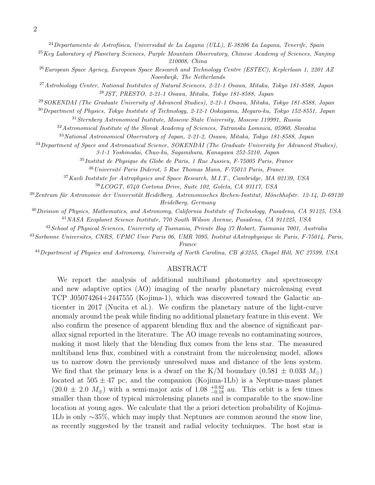$24$ Departamento de Astrofísica, Universidad de La Laguna (ULL), E-38206 La Laguna, Tenerife, Spain

- <sup>25</sup>Key Laboratory of Planetary Sciences, Purple Mountain Observatory, Chinese Academy of Sciences, Nanjing 210008, China
- <sup>26</sup> European Space Agency, European Space Research and Technology Centre (ESTEC), Keplerlaan 1, 2201 AZ Noordwijk, The Netherlands
- <sup>27</sup>Astrobiology Center, National Institutes of Natural Sciences, 2-21-1 Osawa, Mitaka, Tokyo 181-8588, Japan <sup>28</sup>JST, PRESTO, 2-21-1 Osawa, Mitaka, Tokyo 181-8588, Japan
- <sup>29</sup>SOKENDAI (The Graduate University of Advanced Studies), 2-21-1 Osawa, Mitaka, Tokyo 181-8588, Japan
- <sup>30</sup>Department of Physics, Tokyo Institute of Technology, 2-12-1 Ookayama, Meguro-ku, Tokyo 152-8551, Japan

<sup>31</sup>Sternberg Astronomical Institute, Moscow State University, Moscow 119991, Russia

<sup>32</sup>Astronomical Institute of the Slovak Academy of Sciences, Tatranska Lomnica, 05960, Slovakia

<sup>33</sup>National Astronomical Observatory of Japan, 2-21-2, Osawa, Mitaka, Tokyo 181-8588, Japan

<sup>34</sup>Department of Space and Astronautical Science, SOKENDAI (The Graduate University for Advanced Studies), 3-1-1 Yoshinodai, Chuo-ku, Sagamihara, Kanagawa 252-5210, Japan

<sup>35</sup>Institut de Physique du Globe de Paris, 1 Rue Jussieu, F-75005 Paris, France

 $36$ Université Paris Diderot, 5 Rue Thomas Mann, F-75013 Paris, France

<sup>37</sup>Kavli Institute for Astrophysics and Space Research, M.I.T., Cambridge, MA 02139, USA

<sup>38</sup>LCOGT, 6740 Cortona Drive, Suite 102, Goleta, CA 93117, USA

 $39$ Zentrum für Astronomie der Universität Heidelberg, Astronomisches Rechen-Institut, Mönchhofstr. 12-14, D-69120 Heidelberg, Germany

<sup>40</sup>Division of Physics, Mathematics, and Astronomy, California Institute of Technology, Pasadena, CA 91125, USA <sup>41</sup>NASA Exoplanet Science Institute, 770 South Wilson Avenue, Pasadena, CA 911225, USA

<sup>42</sup>School of Physical Sciences, University of Tasmania, Private Bag 37 Hobart, Tasmania 7001, Australia

<sup>43</sup>Sorbonne Universites, CNRS, UPMC Univ Paris 06, UMR 7095, Institut dAstrophysique de Paris, F-75014, Paris, France

<sup>44</sup>Department of Physics and Astronomy, University of North Carolina, CB #3255, Chapel Hill, NC 27599, USA

#### ABSTRACT

We report the analysis of additional multiband photometry and spectroscopy and new adaptive optics (AO) imaging of the nearby planetary microlensing event TCP J05074264+2447555 (Kojima-1), which was discovered toward the Galactic anticenter in 2017 (Nucita et al.). We confirm the planetary nature of the light-curve anomaly around the peak while finding no additional planetary feature in this event. We also confirm the presence of apparent blending flux and the absence of significant parallax signal reported in the literature. The AO image reveals no contaminating sources, making it most likely that the blending flux comes from the lens star. The measured multiband lens flux, combined with a constraint from the microlensing model, allows us to narrow down the previously unresolved mass and distance of the lens system. We find that the primary lens is a dwarf on the K/M boundary  $(0.581 \pm 0.033 M_{\odot})$ located at  $505 \pm 47$  pc, and the companion (Kojima-1Lb) is a Neptune-mass planet  $(20.0 \pm 2.0 \, M_{\oplus})$  with a semi-major axis of 1.08  $^{+0.62}_{-0.18}$  au. This orbit is a few times smaller than those of typical microlensing planets and is comparable to the snow-line location at young ages. We calculate that the a priori detection probability of Kojima-1Lb is only ∼35%, which may imply that Neptunes are common around the snow line, as recently suggested by the transit and radial velocity techniques. The host star is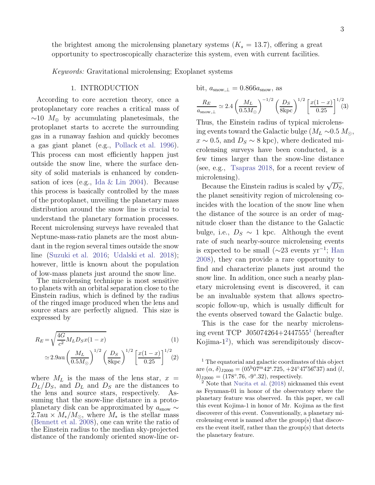the brightest among the microlensing planetary systems  $(K_s = 13.7)$ , offering a great opportunity to spectroscopically characterize this system, even with current facilities.

Keywords: Gravitational microlensing; Exoplanet systems

# 1. INTRODUCTION

According to core accretion theory, once a protoplanetary core reaches a critical mass of  $~\sim 10$  M<sub>⊕</sub> by accumulating planetesimals, the protoplanet starts to accrete the surrounding gas in a runaway fashion and quickly becomes a gas giant planet (e.g., [Pollack et al. 1996](#page-28-0)). This process can most efficiently happen just outside the snow line, where the surface density of solid materials is enhanced by condensation of ices (e.g., [Ida & Lin 2004](#page-27-0)). Because this process is basically controlled by the mass of the protoplanet, unveiling the planetary mass distribution around the snow line is crucial to understand the planetary formation processes. Recent microlensing surveys have revealed that Neptune-mass-ratio planets are the most abundant in the region several times outside the snow line [\(Suzuki et al. 2016](#page-28-1); [Udalski et al. 2018](#page-28-2)); however, little is known about the population of low-mass planets just around the snow line.

The microlensing technique is most sensitive to planets with an orbital separation close to the Einstein radius, which is defined by the radius of the ringed image produced when the lens and source stars are perfectly aligned. This size is expressed by

$$
R_E = \sqrt{\frac{4G}{c^2} M_L D_S x (1 - x)}
$$
(1)  

$$
\approx 2.9 \text{au} \left(\frac{M_L}{0.5 M_{\odot}}\right)^{1/2} \left(\frac{D_S}{8 \text{kpc}}\right)^{1/2} \left[\frac{x(1 - x)}{0.25}\right]^{1/2} (2)
$$

where  $M_L$  is the mass of the lens star,  $x =$  $D_L/D_S$ , and  $D_L$  and  $D_S$  are the distances to the lens and source stars, respectively. Asthe lens and source stars, respectively. suming that the snow-line distance in a protoplanetary disk can be approximated by  $a_{\text{snow}} \sim$  $2.7$ au ×  $M_*/M_{\odot}$ , where  $M_*$  is the stellar mass [\(Bennett et al. 2008\)](#page-27-1), one can write the ratio of the Einstein radius to the median sky-projected distance of the randomly oriented snow-line or-

bit, 
$$
a_{\text{snow}, \perp} = 0.866 a_{\text{snow}}
$$
, as

$$
\frac{R_E}{a_{\text{snow}, \perp}} \simeq 2.4 \left(\frac{M_L}{0.5 M_{\odot}}\right)^{-1/2} \left(\frac{D_S}{8 \text{kpc}}\right)^{1/2} \left[\frac{x(1-x)}{0.25}\right]^{1/2} (3)
$$

Thus, the Einstein radius of typical microlensing events toward the Galactic bulge ( $M_L \sim 0.5 M_\odot$ ),  $x \sim 0.5$ , and  $D_s \sim 8$  kpc), where dedicated microlensing surveys have been conducted, is a few times larger than the snow-line distance (see, e.g., [Tsapras 2018,](#page-28-3) for a recent review of microlensing).

Because the Einstein radius is scaled by  $\sqrt{D_S}$ , the planet sensitivity region of microlensing coincides with the location of the snow line when the distance of the source is an order of magnitude closer than the distance to the Galactic bulge, i.e.,  $D_S \sim 1$  kpc. Although the event rate of such nearby-source microlensing events is expected to be small  $(\sim 23$  events yr<sup>-1</sup>; [Han](#page-27-2) [2008](#page-27-2)), they can provide a rare opportunity to find and characterize planets just around the snow line. In addition, once such a nearby planetary microlensing event is discovered, it can be an invaluable system that allows spectroscopic follow-up, which is usually difficult for the events observed toward the Galactic bulge.

This is the case for the nearby microlensing event TCP J05074264+2447555[1](#page-4-0) (hereafter Kojima- $1^2$  $1^2$ ), which was serendipitously discov-

<span id="page-4-0"></span><sup>1</sup> The equatorial and galactic coordinates of this object are  $(\alpha, \delta)_{\text{J2000}} = (05^{\text{h}}07^{\text{m}}42^{\text{s}}.725, +24^{\circ}47'56''37)$  and  $(l,$  $b)_{\text{J2000}} = (178^{\circ}.76, -9^{\circ}.32),$  respectively.

<span id="page-4-1"></span><sup>2</sup> Note that [Nucita et al.](#page-28-4) [\(2018](#page-28-4)) nicknamed this event as Feynman-01 in honor of the observatory where the planetary feature was observed. In this paper, we call this event Kojima-1 in honor of Mr. Kojima as the first discoverer of this event. Conventionally, a planetary microlensing event is named after the group(s) that discovers the event itself, rather than the group(s) that detects the planetary feature.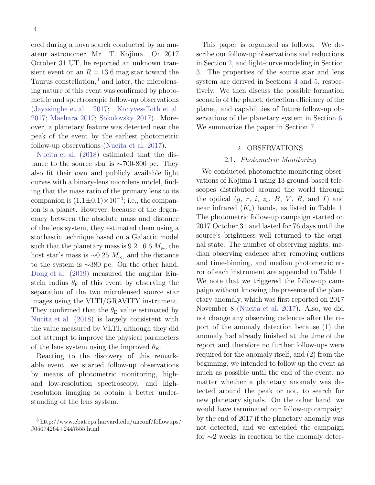ered during a nova search conducted by an amateur astronomer, Mr. T. Kojima. On 2017 October 31 UT, he reported an unknown transient event on an  $R = 13.6$  mag star toward the Taurus constellation,<sup>[3](#page-5-0)</sup> and later, the microlensing nature of this event was confirmed by photometric and spectroscopic follow-up observations [\(Jayasinghe et al. 2017;](#page-27-3) [Konyves-Toth et al.](#page-28-5) [2017](#page-28-5); [Maehara 2017;](#page-28-6) [Sokolovsky 2017\)](#page-28-7). Moreover, a planetary feature was detected near the peak of the event by the earliest photometric follow-up observations [\(Nucita et al. 2017](#page-28-8)).

[Nucita et al.](#page-28-4) [\(2018\)](#page-28-4) estimated that the distance to the source star is ∼700-800 pc. They also fit their own and publicly available light curves with a binary-lens microlens model, finding that the mass ratio of the primary lens to its companion is  $(1.1 \pm 0.1) \times 10^{-4}$ ; i.e., the companion is a planet. However, because of the degeneracy between the absolute mass and distance of the lens system, they estimated them using a stochastic technique based on a Galactic model such that the planetary mass is  $9.2\pm6.6$   $M_{\oplus}$ , the host star's mass is  $\sim$ 0.25  $M_{\odot}$ , and the distance to the system is ∼380 pc. On the other hand, [Dong et al.](#page-27-4) [\(2019](#page-27-4)) measured the angular Einstein radius  $\theta_{\rm E}$  of this event by observing the separation of the two microlensed source star images using the VLTI/GRAVITY instrument. They confirmed that the  $\theta_{\rm E}$  value estimated by [Nucita et al.](#page-28-4) [\(2018\)](#page-28-4) is largely consistent with the value measured by VLTI, although they did not attempt to improve the physical parameters of the lens system using the improved  $\theta_{\rm E}$ .

Reacting to the discovery of this remarkable event, we started follow-up observations by means of photometric monitoring, highand low-resolution spectroscopy, and highresolution imaging to obtain a better understanding of the lens system.

This paper is organized as follows. We describe our follow-up observations and reductions in Section [2,](#page-5-1) and light-curve modeling in Section [3.](#page-7-0) The properties of the source star and lens system are derived in Sections [4](#page-13-0) and [5,](#page-17-0) respectively. We then discuss the possible formation scenario of the planet, detection efficiency of the planet, and capabilities of future follow-up observations of the planetary system in Section [6.](#page-21-0) We summarize the paper in Section [7.](#page-25-0)

# 2. OBSERVATIONS

#### 2.1. Photometric Monitoring

<span id="page-5-1"></span>We conducted photometric monitoring observations of Kojima-1 using 13 ground-based telescopes distributed around the world through the optical  $(g, r, i, z_s, B, V, R, \text{ and } I)$  and near infrared  $(K_s)$  bands, as listed in Table [1.](#page-8-0) The photometric follow-up campaign started on 2017 October 31 and lasted for 76 days until the source's brightness well returned to the original state. The number of observing nights, median observing cadence after removing outliers and time-binning, and median photometric error of each instrument are appended to Table [1.](#page-8-0) We note that we triggered the follow-up campaign without knowing the presence of the planetary anomaly, which was first reported on 2017 November 8 [\(Nucita et al. 2017](#page-28-8)). Also, we did not change any observing cadences after the report of the anomaly detection because (1) the anomaly had already finished at the time of the report and therefore no further follow-ups were required for the anomaly itself, and (2) from the beginning, we intended to follow up the event as much as possible until the end of the event, no matter whether a planetary anomaly was detected around the peak or not, to search for new planetary signals. On the other hand, we would have terminated our follow-up campaign by the end of 2017 if the planetary anomaly was not detected, and we extended the campaign for ∼2 weeks in reaction to the anomaly detec-

<span id="page-5-0"></span><sup>3</sup> http://www.cbat.eps.harvard.edu/unconf/followups/ J05074264+2447555.html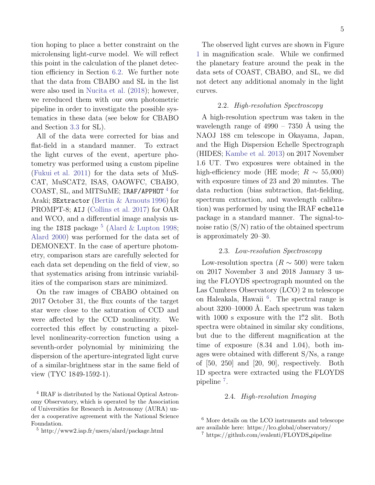tion hoping to place a better constraint on the microlensing light-curve model. We will reflect this point in the calculation of the planet detection efficiency in Section [6.2.](#page-23-0) We further note that the data from CBABO and SL in the list were also used in [Nucita et al.](#page-28-4) [\(2018](#page-28-4)); however, we rereduced them with our own photometric pipeline in order to investigate the possible systematics in these data (see below for CBABO and Section [3.3](#page-9-0) for SL).

All of the data were corrected for bias and flat-field in a standard manner. To extract the light curves of the event, aperture photometry was performed using a custom pipeline [\(Fukui et al. 2011\)](#page-27-5) for the data sets of MuS-CAT, MuSCAT2, ISAS, OAOWFC, CBABO, COAST, SL, and MITSuME; IRAF/APPHOT<sup>[4](#page-6-0)</sup> for Araki; SExtractor [\(Bertin & Arnouts 1996\)](#page-27-6) for PROMPT-8; AIJ [\(Collins et al. 2017\)](#page-27-7) for OAR and WCO, and a differential image analysis using the ISIS package  $^5$  $^5$  [\(Alard & Lupton 1998;](#page-27-8) [Alard 2000\)](#page-27-9) was performed for the data set of DEMONEXT. In the case of aperture photometry, comparison stars are carefully selected for each data set depending on the field of view, so that systematics arising from intrinsic variabilities of the comparison stars are minimized.

On the raw images of CBABO obtained on 2017 October 31, the flux counts of the target star were close to the saturation of CCD and were affected by the CCD nonlinearity. We corrected this effect by constructing a pixellevel nonlinearity-correction function using a seventh-order polynomial by minimizing the dispersion of the aperture-integrated light curve of a similar-brightness star in the same field of view (TYC 1849-1592-1).

The observed light curves are shown in Figure [1](#page-7-1) in magnification scale. While we confirmed the planetary feature around the peak in the data sets of COAST, CBABO, and SL, we did not detect any additional anomaly in the light curves.

## 2.2. High-resolution Spectroscopy

A high-resolution spectrum was taken in the wavelength range of  $4990 - 7350$  Å using the NAOJ 188 cm telescope in Okayama, Japan, and the High Dispersion Echelle Spectrograph (HIDES; [Kambe et al. 2013\)](#page-27-10) on 2017 November 1.6 UT. Two exposures were obtained in the high-efficiency mode (HE mode;  $R \sim 55,000$ ) with exposure times of 23 and 20 minutes. The data reduction (bias subtraction, flat-fielding, spectrum extraction, and wavelength calibration) was performed by using the IRAF echelle package in a standard manner. The signal-tonoise ratio  $(S/N)$  ratio of the obtained spectrum is approximately 20–30.

## 2.3. Low-resolution Spectroscopy

Low-resolution spectra ( $R \sim 500$ ) were taken on 2017 November 3 and 2018 January 3 using the FLOYDS spectrograph mounted on the Las Cumbres Observatory (LCO) 2 m telescope on Haleakala, Hawaii [6](#page-6-2) . The spectral range is about  $3200-10000$  Å. Each spectrum was taken with 1000 s exposure with the 1".2 slit. Both spectra were obtained in similar sky conditions, but due to the different magnification at the time of exposure (8.34 and 1.04), both images were obtained with different S/Ns, a range of [50, 250] and [20, 90], respectively. Both 1D spectra were extracted using the FLOYDS pipeline<sup>[7](#page-6-3)</sup>.

## 2.4. High-resolution Imaging

<span id="page-6-0"></span><sup>4</sup> IRAF is distributed by the National Optical Astronomy Observatory, which is operated by the Association of Universities for Research in Astronomy (AURA) under a cooperative agreement with the National Science Foundation.

<span id="page-6-1"></span><sup>5</sup> http://www2.iap.fr/users/alard/package.html

<sup>6</sup> More details on the LCO instruments and telescope are available here: https://lco.global/observatory/

<span id="page-6-3"></span><span id="page-6-2"></span><sup>7</sup> https://github.com/svalenti/FLOYDS pipeline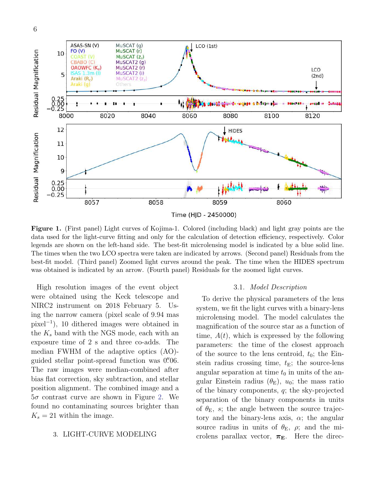

<span id="page-7-1"></span>Figure 1. (First panel) Light curves of Kojima-1. Colored (including black) and light gray points are the data used for the light-curve fitting and only for the calculation of detection efficiency, respectively. Color legends are shown on the left-hand side. The best-fit microlensing model is indicated by a blue solid line. The times when the two LCO spectra were taken are indicated by arrows. (Second panel) Residuals from the best-fit model. (Third panel) Zoomed light curves around the peak. The time when the HIDES spectrum was obtained is indicated by an arrow. (Fourth panel) Residuals for the zoomed light curves.

High resolution images of the event object were obtained using the Keck telescope and NIRC2 instrument on 2018 February 5. Using the narrow camera (pixel scale of 9.94 mas pixel<sup>−</sup><sup>1</sup> ), 10 dithered images were obtained in the  $K_s$  band with the NGS mode, each with an exposure time of 2 s and three co-adds. The median FWHM of the adaptive optics (AO) guided stellar point-spread function was 0".06. The raw images were median-combined after bias flat correction, sky subtraction, and stellar position alignment. The combined image and a  $5\sigma$  contrast curve are shown in Figure [2.](#page-9-1) We found no contaminating sources brighter than  $K_s = 21$  within the image.

# <span id="page-7-0"></span>3. LIGHT-CURVE MODELING

#### 3.1. Model Description

To derive the physical parameters of the lens system, we fit the light curves with a binary-lens microlensing model. The model calculates the magnification of the source star as a function of time,  $A(t)$ , which is expressed by the following parameters: the time of the closest approach of the source to the lens centroid,  $t_0$ ; the Einstein radius crossing time,  $t<sub>E</sub>$ ; the source-lens angular separation at time  $t_0$  in units of the angular Einstein radius  $(\theta_{\rm E})$ ,  $u_0$ ; the mass ratio of the binary components, q; the sky-projected separation of the binary components in units of  $\theta_{\rm E}$ , s; the angle between the source trajectory and the binary-lens axis,  $\alpha$ ; the angular source radius in units of  $\theta_{\rm E}$ ,  $\rho$ ; and the microlens parallax vector,  $\pi_{\mathbf{E}}$ . Here the direc-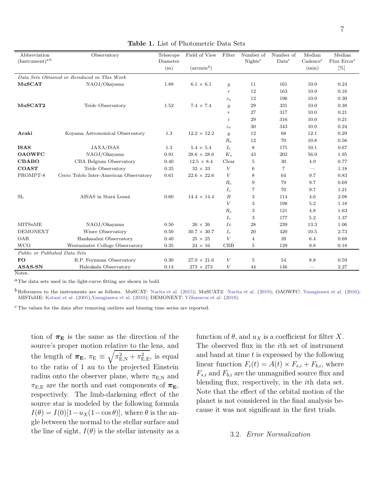<span id="page-8-0"></span>

| Abbreviation<br>$(Instrument)^{a b}$ | Observatory                                  | Telescope<br>Diameter | Field of View       | Filter           | Number of<br>Nights <sup>c</sup> | Number of<br>Data <sup>c</sup> | Median<br>Cadence <sup>c</sup> | Median<br>Flux Error <sup>c</sup> |
|--------------------------------------|----------------------------------------------|-----------------------|---------------------|------------------|----------------------------------|--------------------------------|--------------------------------|-----------------------------------|
|                                      |                                              | (m)                   | $(\text{arcmin}^2)$ |                  |                                  |                                | (min)                          | $[\%]$                            |
|                                      | Data Sets Obtained or Rereduced in This Work |                       |                     |                  |                                  |                                |                                |                                   |
| MuSCAT                               | NAOJ/Okayama                                 | 1.88                  | $6.1 \times 6.1$    | $\mathfrak{g}$   | 11                               | 161                            | 10.0                           | 0.24                              |
|                                      |                                              |                       |                     | $\boldsymbol{r}$ | 12                               | 163                            | 10.0                           | 0.16                              |
|                                      |                                              |                       |                     | $z_{s}$          | 12                               | 196                            | 10.0                           | 0.30                              |
| MuSCAT2                              | Teide Observatory                            | 1.52                  | $7.4 \times 7.4$    | $\mathfrak{g}$   | 29                               | 331                            | 10.0                           | 0.38                              |
|                                      |                                              |                       |                     | $\,r\,$          | 27                               | 317                            | 10.0                           | 0.21                              |
|                                      |                                              |                       |                     | $\dot{i}$        | 29                               | 316                            | 10.0                           | 0.21                              |
|                                      |                                              |                       |                     | $z_{s}$          | 30                               | 343                            | 10.0                           | 0.24                              |
| Araki                                | Koyama Astronomical Observatory              | 1.3                   | $12.2 \times 12.2$  | $\mathfrak{g}$   | 12                               | 68                             | 12.1                           | 0.29                              |
|                                      |                                              |                       |                     | $R_c$            | 12                               | 70                             | 10.8                           | 0.56                              |
| <b>ISAS</b>                          | JAXA/ISAS                                    | 1.3                   | $5.4 \times 5.4$    | $I_c$            | 8                                | 175                            | 10.1                           | 0.67                              |
| <b>OAOWFC</b>                        | NAOJ/Okayama                                 | 0.91                  | $28.6 \times 28.6$  | $K_s$            | 43                               | 202                            | 56.0                           | 1.95                              |
| <b>CBABO</b>                         | CBA Belgium Observatory                      | 0.40                  | $12.5 \times 8.4$   | Clear            | 5                                | 30                             | 4.9                            | 0.77                              |
| <b>COAST</b>                         | Teide Observatory                            | 0.35                  | $33\,\times\,33$    | $\bar{V}$        | 6                                | 7                              | $\overline{\phantom{0}}$       | 1.18                              |
| PROMPT-8                             | Cerro Tololo Inter-American Observatory      | 0.61                  | $22.6 \times 22.6$  | $\bar{V}$        | 8                                | 64                             | 9.7                            | 0.83                              |
|                                      |                                              |                       |                     | $R_c$            | 9                                | 79                             | 9.7                            | 0.69                              |
|                                      |                                              |                       |                     | $I_c$            | 7                                | 70                             | 9.7                            | 1.21                              |
| SL                                   | AISAS in Stará Lesná                         | 0.60                  | $14.4 \times 14.4$  | $\boldsymbol{B}$ | 3                                | 114                            | 4.6                            | 2.08                              |
|                                      |                                              |                       |                     | V                | 3                                | 198                            | 5.2                            | 1.18                              |
|                                      |                                              |                       |                     | $R_c$            | 3                                | 121                            | 4.8                            | 1.63                              |
|                                      |                                              |                       |                     | $I_c$            | 3                                | 177                            | $5.2\,$                        | 1.37                              |
| <b>MITSuME</b>                       | NAOJ/Okayama                                 | 0.50                  | $26 \times 26$      | Ic               | 28                               | 239                            | 13.3                           | 1.06                              |
| <b>DEMONEXT</b>                      | Winer Observatory                            | 0.50                  | $30.7 \times 30.7$  | $I_c$            | 20                               | 420                            | 10.5                           | 2.73                              |
| <b>OAR</b>                           | Hankasalmi Observatory                       | 0.40                  | $25\,\times\,25$    | $\boldsymbol{V}$ | 4                                | 39                             | 6.4                            | 0.68                              |
| <b>WCO</b>                           | Westminster College Observatory              | 0.35                  | $24\,\times\,16$    | CBB              | 5                                | 129                            | 9.8                            | 0.18                              |
| Public or Published Data Sets        |                                              |                       |                     |                  |                                  |                                |                                |                                   |
| <b>FO</b>                            | R.P. Feynman Observatory                     | 0.30                  | $27.0 \times 21.6$  | $\boldsymbol{V}$ | 5                                | 54                             | 8.8                            | 0.59                              |
| ASAS-SN                              | Haleakala Observatory                        | 0.14                  | $273 \times 273$    | V                | 44                               | 146                            |                                | 2.27                              |

Note

 $a<sup>a</sup>$ The data sets used in the light-curve fitting are shown in bold.

 $^b$  References to the instruments are as follows. MuSCAT: [Narita et al.](#page-28-10) [\(2015\)](#page-28-9); MuSCAT2: Narita et al. [\(2019](#page-28-10)); OAOWFC: [Yanagisawa et al.](#page-28-11) [\(2016](#page-28-11)); MISTuME: [Kotani et al.](#page-28-12) [\(2005](#page-28-12))[,Yanagisawa et al.](#page-28-13) [\(2010](#page-28-13)); DEMONEXT: [Villanueva et al.](#page-28-14) [\(2018](#page-28-14)).

c The values for the data after removing outliers and binning time series are reported.

tion of  $\pi_{\rm E}$  is the same as the direction of the source's proper motion relative to the lens, and the length of  $\pi_{\mathbf{E}}$ ,  $\pi_{\mathbf{E}} \equiv \sqrt{\pi_{\mathbf{E},\mathrm{N}}^2 + \pi_{\mathbf{E},\mathbf{E}}^2}$ , is equal to the ratio of 1 au to the projected Einstein radius onto the observer plane, where  $\pi_{\text{E,N}}$  and  $\pi_{\rm E,E}$  are the north and east components of  $\boldsymbol{\pi}_{\rm E},$ respectively. The limb-darkening effect of the source star is modeled by the following formula  $I(\theta) = I(0)[1-u_X(1-\cos\theta)],$  where  $\theta$  is the angle between the normal to the stellar surface and the line of sight,  $I(\theta)$  is the stellar intensity as a

function of  $\theta$ , and  $u_X$  is a coefficient for filter X. The observed flux in the ith set of instrument and band at time  $t$  is expressed by the following linear function  $F_i(t) = A(t) \times F_{s,i} + F_{b,i}$ , where  $F_{s,i}$  and  $F_{b,i}$  are the unmagnified source flux and blending flux, respectively, in the ith data set. Note that the effect of the orbital motion of the planet is not considered in the final analysis because it was not significant in the first trials.

# 3.2. Error Normalization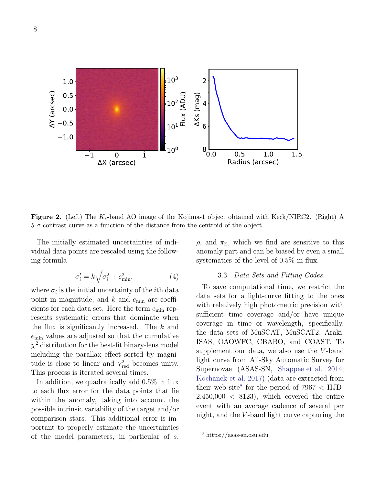

<span id="page-9-1"></span>**Figure 2.** (Left) The  $K_s$ -band AO image of the Kojima-1 object obtained with Keck/NIRC2. (Right) A  $5-\sigma$  contrast curve as a function of the distance from the centroid of the object.

The initially estimated uncertainties of individual data points are rescaled using the following formula

$$
\sigma_i' = k\sqrt{\sigma_i^2 + e_{\min}^2},\tag{4}
$$

where  $\sigma_i$  is the initial uncertainty of the *i*<sup>th</sup> data point in magnitude, and  $k$  and  $e_{\min}$  are coefficients for each data set. Here the term  $e_{\min}$  represents systematic errors that dominate when the flux is significantly increased. The  $k$  and emin values are adjusted so that the cumulative  $\chi^2$  distribution for the best-fit binary-lens model including the parallax effect sorted by magnitude is close to linear and  $\chi^2_{\text{red}}$  becomes unity. This process is iterated several times.

In addition, we quadratically add 0.5% in flux to each flux error for the data points that lie within the anomaly, taking into account the possible intrinsic variability of the target and/or comparison stars. This additional error is important to properly estimate the uncertainties of the model parameters, in particular of s,

 $ρ$ , and  $π$ <sub>E</sub>, which we find are sensitive to this anomaly part and can be biased by even a small systematics of the level of 0.5% in flux.

## 3.3. Data Sets and Fitting Codes

<span id="page-9-0"></span>To save computational time, we restrict the data sets for a light-curve fitting to the ones with relatively high photometric precision with sufficient time coverage and/or have unique coverage in time or wavelength, specifically, the data sets of MuSCAT, MuSCAT2, Araki, ISAS, OAOWFC, CBABO, and COAST. To supplement our data, we also use the  $V$ -band light curve from All-Sky Automatic Survey for Supernovae (ASAS-SN, [Shappee et al. 2014;](#page-28-15) [Kochanek et al. 2017](#page-27-11)) (data are extracted from their web site<sup>[8](#page-9-2)</sup> for the period of  $7967 <$  HJD- $2,450,000 < 8123$ , which covered the entire event with an average cadence of several per night, and the  $V$ -band light curve capturing the

<span id="page-9-2"></span><sup>8</sup> https://asas-sn.osu.edu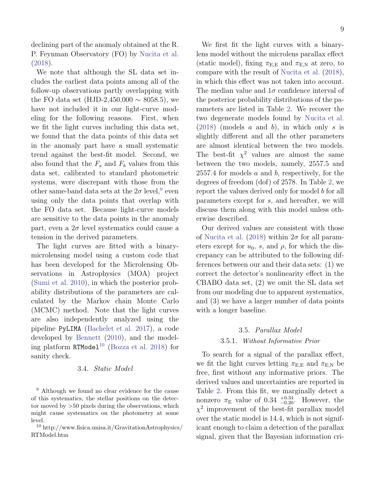declining part of the anomaly obtained at the R. P. Feynman Observatory (FO) by [Nucita et al.](#page-28-4) [\(2018\)](#page-28-4).

We note that although the SL data set includes the earliest data points among all of the follow-up observations partly overlapping with the FO data set (HJD-2,450,000  $\sim$  8058.5), we have not included it in our light-curve modeling for the following reasons. First, when we fit the light curves including this data set, we found that the data points of this data set in the anomaly part have a small systematic trend against the best-fit model. Second, we also found that the  $F_s$  and  $F_b$  values from this data set, calibrated to standard photometric systems, were discrepant with those from the other same-band data sets at the  $2\sigma$  level, <sup>[9](#page-10-0)</sup> even using only the data points that overlap with the FO data set. Because light-curve models are sensitive to the data points in the anomaly part, even a  $2\sigma$  level systematics could cause a tension in the derived parameters.

The light curves are fitted with a binarymicrolensing model using a custom code that has been developed for the Microlensing Observations in Astrophysics (MOA) project [\(Sumi et al. 2010](#page-28-16)), in which the posterior probability distributions of the parameters are calculated by the Markov chain Monte Carlo (MCMC) method. Note that the light curves are also independently analyzed using the pipeline PyLIMA [\(Bachelet et al. 2017\)](#page-27-12), a code developed by [Bennett](#page-27-13) [\(2010](#page-27-13)), and the model-ing platform RTModel<sup>[10](#page-10-1)</sup> [\(Bozza et al. 2018\)](#page-27-14) for sanity check.

## 3.4. Static Model

<span id="page-10-0"></span><sup>9</sup> Although we found no clear evidence for the cause of this systematics, the stellar positions on the detector moved by >50 pixels during the observations, which might cause systematics on the photometry at some level.

<span id="page-10-1"></span><sup>10</sup> http://www.fisica.unisa.it/GravitationAstrophysics/ RTModel.htm

We first fit the light curves with a binarylens model without the microlens parallax effect (static model), fixing  $\pi_{E,E}$  and  $\pi_{E,N}$  at zero, to compare with the result of [Nucita et al.](#page-28-4) [\(2018](#page-28-4)), in which this effect was not taken into account. The median value and  $1\sigma$  confidence interval of the posterior probability distributions of the parameters are listed in Table [2.](#page-15-0) We recover the two degenerate models found by [Nucita et al.](#page-28-4)  $(2018)$  (models a and b), in which only s is slightly different and all the other parameters are almost identical between the two models. The best-fit  $\chi^2$  values are almost the same between the two models, namely, 2557.5 and  $2557.4$  for models a and b, respectively, for the degrees of freedom (dof) of 2578. In Table [2,](#page-15-0) we report the values derived only for model b for all parameters except for s, and hereafter, we will discuss them along with this model unless otherwise described.

Our derived values are consistent with those of [Nucita et al.](#page-28-4) [\(2018\)](#page-28-4) within  $2\sigma$  for all parameters except for  $u_0$ , s, and  $\rho$ , for which the discrepancy can be attributed to the following differences between our and their data sets: (1) we correct the detector's nonlinearity effect in the CBABO data set, (2) we omit the SL data set from our modeling due to apparent systematics, and (3) we have a larger number of data points with a longer baseline.

## 3.5. Parallax Model

#### <span id="page-10-3"></span>3.5.1. Without Informative Prior

<span id="page-10-2"></span>To search for a signal of the parallax effect, we fit the light curves letting  $\pi_{E,E}$  and  $\pi_{E,N}$  be free, first without any informative priors. The derived values and uncertainties are reported in Table [2.](#page-15-0) From this fit, we marginally detect a nonzero  $\pi_{\rm E}$  value of 0.34  $^{+0.34}_{-0.20}$ . However, the  $\chi^2$  improvement of the best-fit parallax model over the static model is 14.4, which is not significant enough to claim a detection of the parallax signal, given that the Bayesian information cri-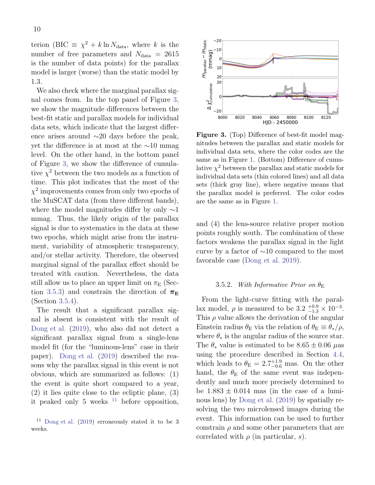terion (BIC  $\equiv \chi^2 + k \ln N_{\text{data}}$ , where k is the number of free parameters and  $N_{data} = 2615$ is the number of data points) for the parallax model is larger (worse) than the static model by 1.3.

We also check where the marginal parallax signal comes from. In the top panel of Figure [3,](#page-11-0) we show the magnitude differences between the best-fit static and parallax models for individual data sets, which indicate that the largest difference arises around ∼20 days before the peak, yet the difference is at most at the ∼10 mmag level. On the other hand, in the bottom panel of Figure [3,](#page-11-0) we show the difference of cumulative  $\chi^2$  between the two models as a function of time. This plot indicates that the most of the  $\chi^2$  improvements comes from only two epochs of the MuSCAT data (from three different bands), where the model magnitudes differ by only  $\sim$ 1 mmag. Thus, the likely origin of the parallax signal is due to systematics in the data at these two epochs, which might arise from the instrument, variability of atmospheric transparency, and/or stellar activity. Therefore, the observed marginal signal of the parallax effect should be treated with caution. Nevertheless, the data still allow us to place an upper limit on  $\pi_{\rm E}$  (Sec-tion [3.5.3\)](#page-12-0) and constrain the direction of  $\pi_{\rm E}$ (Section [3.5.4\)](#page-12-1).

The result that a significant parallax signal is absent is consistent with the result of [Dong et al.](#page-27-4) [\(2019](#page-27-4)), who also did not detect a significant parallax signal from a single-lens model fit (for the "luminous-lens" case in their paper). [Dong et al.](#page-27-4) [\(2019\)](#page-27-4) described the reasons why the parallax signal in this event is not obvious, which are summarized as follows: (1) the event is quite short compared to a year, (2) it lies quite close to the ecliptic plane, (3) it peaked only 5 weeks  $11$  before opposition,



<span id="page-11-0"></span>Figure 3. (Top) Difference of best-fit model magnitudes between the parallax and static models for individual data sets, where the color codes are the same as in Figure [1.](#page-7-1) (Bottom) Difference of cumulative  $\chi^2$  between the parallax and static models for individual data sets (thin colored lines) and all data sets (thick gray line), where negative means that the parallax model is preferred. The color codes are the same as in Figure [1.](#page-7-1)

and (4) the lens-source relative proper motion points roughly south. The combination of these factors weakens the parallax signal in the light curve by a factor of ∼10 compared to the most favorable case [\(Dong et al. 2019](#page-27-4)).

## 3.5.2. With Informative Prior on  $\theta_{\rm E}$

From the light-curve fitting with the parallax model,  $\rho$  is measured to be  $3.2^{+0.9}_{-1.3} \times 10^{-3}$ . This  $\rho$  value allows the derivation of the angular Einstein radius  $\theta_{\rm E}$  via the relation of  $\theta_{\rm E} \equiv \theta_{*}/\rho$ , where  $\theta_*$  is the angular radius of the source star. The  $\theta_*$  value is estimated to be  $8.65 \pm 0.06$   $\mu$ as using the procedure described in Section [4.4,](#page-14-0) which leads to  $\theta_{\rm E} = 2.7^{+1.9}_{-0.6}$  mas. On the other hand, the  $\theta_{\rm E}$  of the same event was independently and much more precisely determined to be  $1.883 \pm 0.014$  mas (in the case of a luminous lens) by [Dong et al.](#page-27-4) [\(2019\)](#page-27-4) by spatially resolving the two microlensed images during the event. This information can be used to further constrain  $\rho$  and some other parameters that are correlated with  $\rho$  (in particular, s).

<span id="page-11-1"></span> $11$  [Dong et al.](#page-27-4) [\(2019\)](#page-27-4) erroneously stated it to be 3 weeks.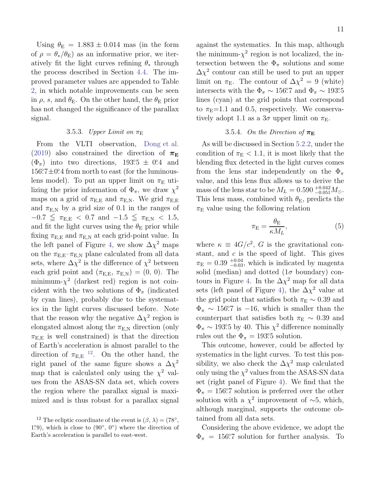Using  $\theta_{\rm E} = 1.883 \pm 0.014$  mas (in the form of  $\rho = \theta_*/\theta_{\rm E}$ ) as an informative prior, we iteratively fit the light curves refining  $\theta_*$  through the process described in Section [4.4.](#page-14-0) The improved parameter values are appended to Table [2,](#page-15-0) in which notable improvements can be seen in  $\rho$ , s, and  $\theta_{\rm E}$ . On the other hand, the  $\theta_{\rm E}$  prior has not changed the significance of the parallax signal.

## 3.5.3. Upper Limit on  $\pi_{\rm E}$

<span id="page-12-0"></span>From the VLTI observation, [Dong et al.](#page-27-4) [\(2019\)](#page-27-4) also constrained the direction of  $\pi_{\rm E}$  $(\Phi_{\pi})$  into two directions, 193°.5 ± 0°.4 and  $156.7 \pm 0.4$  from north to east (for the luminouslens model). To put an upper limit on  $\pi_{\rm E}$  utilizing the prior information of  $\Phi_{\pi}$ , we draw  $\chi^2$ maps on a grid of  $\pi_{\text{E,E}}$  and  $\pi_{\text{E,N}}$ . We grid  $\pi_{\text{E,E}}$ and  $\pi_{E,N}$  by a grid size of 0.1 in the ranges of  $-0.7 \leq \pi_{\rm E,E}$  < 0.7 and  $-1.5 \leq \pi_{\rm E,N}$  < 1.5, and fit the light curves using the  $\theta_{\rm E}$  prior while fixing  $\pi_{E,E}$  and  $\pi_{E,N}$  at each grid-point value. In the left panel of Figure [4,](#page-14-1) we show  $\Delta\chi^2$  maps on the  $\pi_{\text{E,E}} - \pi_{\text{E,N}}$  plane calculated from all data sets, where  $\Delta \chi^2$  is the difference of  $\chi^2$  between each grid point and  $(\pi_{E,E}, \pi_{E,N}) = (0, 0)$ . The minimum- $\chi^2$  (darkest red) region is not coincident with the two solutions of  $\Phi_{\pi}$  (indicated by cyan lines), probably due to the systematics in the light curves discussed before. Note that the reason why the negative  $\Delta \chi^2$  region is elongated almost along the  $\pi_{E,N}$  direction (only  $\pi_{\text{E,E}}$  is well constrained) is that the direction of Earth's acceleration is almost parallel to the direction of  $\pi_{E,E}$ <sup>[12](#page-12-2)</sup>. On the other hand, the right panel of the same figure shows a  $\Delta\chi^2$ map that is calculated only using the  $\chi^2$  values from the ASAS-SN data set, which covers the region where the parallax signal is maximized and is thus robust for a parallax signal

against the systematics. In this map, although the minimum- $\chi^2$  region is not localized, the intersection between the  $\Phi_{\pi}$  solutions and some  $\Delta \chi^2$  contour can still be used to put an upper limit on  $\pi_{\rm E}$ . The contour of  $\Delta \chi^2 = 9$  (white) intersects with the  $\Phi_{\pi} \sim 156^{\circ}$ ? and  $\Phi_{\pi} \sim 193^{\circ}5$ lines (cyan) at the grid points that correspond to  $\pi_{\rm E}=1.1$  and 0.5, respectively. We conservatively adopt 1.1 as a  $3\sigma$  upper limit on  $\pi_{\rm E}$ .

## 3.5.4. On the Direction of  $\pi_F$

<span id="page-12-1"></span>As will be discussed in Section [5.2.2,](#page-18-0) under the condition of  $\pi_{\rm E}$  < 1.1, it is most likely that the blending flux detected in the light curves comes from the lens star independently on the  $\Phi_{\pi}$ value, and this lens flux allows us to derive the mass of the lens star to be  $M_L = 0.590_{-0.051}^{+0.042} M_{\odot}$ . This lens mass, combined with  $\theta_{\rm E}$ , predicts the  $\pi_{\rm E}$  value using the following relation

$$
\pi_{\mathcal{E}} = \frac{\theta_{\mathcal{E}}}{\kappa M_L},\tag{5}
$$

where  $\kappa \equiv 4G/c^2$ , G is the gravitational constant, and  $c$  is the speed of light. This gives  $\pi_{\rm E} = 0.39_{-0.03}^{+0.04}$ , which is indicated by magenta solid (median) and dotted  $(1\sigma$  boundary) con-tours in Figure [4.](#page-14-1) In the  $\Delta\chi^2$  map for all data sets (left panel of Figure [4\)](#page-14-1), the  $\Delta \chi^2$  value at the grid point that satisfies both  $\pi_{\rm E} \sim 0.39$  and  $\Phi_{\pi} \sim 156.7$  is -16, which is smaller than the counterpart that satisfies both  $\pi_{\rm E} \sim 0.39$  and  $\Phi_{\pi} \sim 193^{\circ}5$  by 40. This  $\chi^2$  difference nominally rules out the  $\Phi_{\pi} = 193^{\circ}5$  solution.

This outcome, however, could be affected by systematics in the light curves. To test this possibility, we also check the  $\Delta \chi^2$  map calculated only using the  $\chi^2$  values from the ASAS-SN data set (right panel of Figure [4\)](#page-14-1). We find that the  $\Phi_{\pi} = 156.7$  solution is preferred over the other solution with a  $\chi^2$  improvement of ~5, which, although marginal, supports the outcome obtained from all data sets.

Considering the above evidence, we adopt the  $\Phi_{\pi}$  = 156°.7 solution for further analysis. To

<span id="page-12-2"></span><sup>&</sup>lt;sup>12</sup> The ecliptic coordinate of the event is  $(\beta, \lambda) = (78^{\circ},$ 1.9), which is close to  $(90^{\circ}, 0^{\circ})$  where the direction of Earth's acceleration is parallel to east-west.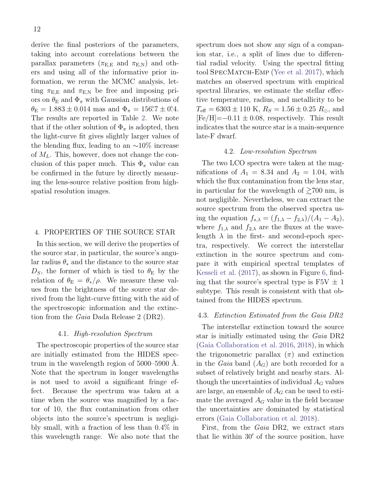derive the final posteriors of the parameters, taking into account correlations between the parallax parameters ( $\pi_{\text{E,E}}$  and  $\pi_{\text{E,N}}$ ) and others and using all of the informative prior information, we rerun the MCMC analysis, letting  $\pi_{\text{E,E}}$  and  $\pi_{\text{E,N}}$  be free and imposing priors on  $\theta_{\rm E}$  and  $\Phi_{\pi}$  with Gaussian distributions of  $\theta_{\rm E} = 1.883 \pm 0.014$  mas and  $\Phi_{\pi} = 156.7 \pm 0.4$ . The results are reported in Table [2.](#page-15-0) We note that if the other solution of  $\Phi_{\pi}$  is adopted, then the light-curve fit gives slightly larger values of the blending flux, leading to an  $\sim 10\%$  increase of  $M_L$ . This, however, does not change the conclusion of this paper much. This  $\Phi_{\pi}$  value can be confirmed in the future by directly measuring the lens-source relative position from highspatial resolution images.

# <span id="page-13-0"></span>4. PROPERTIES OF THE SOURCE STAR

In this section, we will derive the properties of the source star, in particular, the source's angular radius  $\theta_*$  and the distance to the source star  $D<sub>S</sub>$ , the former of which is tied to  $\theta<sub>E</sub>$  by the relation of  $\theta_{\rm E} = \theta_*/\rho$ . We measure these values from the brightness of the source star derived from the light-curve fitting with the aid of the spectroscopic information and the extinction from the Gaia Dada Release 2 (DR2).

## 4.1. High-resolution Spectrum

The spectroscopic properties of the source star are initially estimated from the HIDES spectrum in the wavelength region of  $5000-5900$  Å. Note that the spectrum in longer wavelengths is not used to avoid a significant fringe effect. Because the spectrum was taken at a time when the source was magnified by a factor of 10, the flux contamination from other objects into the source's spectrum is negligibly small, with a fraction of less than 0.4% in this wavelength range. We also note that the spectrum does not show any sign of a companion star, i.e., a split of lines due to differential radial velocity. Using the spectral fitting tool SPECMATCH-EMP [\(Yee et al. 2017\)](#page-28-17), which matches an observed spectrum with empirical spectral libraries, we estimate the stellar effective temperature, radius, and metallicity to be  $T_{\text{eff}} = 6303 \pm 110 \text{ K}, R_S = 1.56 \pm 0.25 R_{\odot}$ , and  $[Fe/H] = -0.11 \pm 0.08$ , respectively. This result indicates that the source star is a main-sequence late-F dwarf.

## 4.2. Low-resolution Spectrum

The two LCO spectra were taken at the magnifications of  $A_1 = 8.34$  and  $A_2 = 1.04$ , with which the flux contamination from the lens star, in particular for the wavelength of  $\gtrsim700$  nm, is not negligible. Nevertheless, we can extract the source spectrum from the observed spectra using the equation  $f_{s,\lambda} = (f_{1,\lambda} - f_{2,\lambda})/(A_1 - A_2),$ where  $f_{1,\lambda}$  and  $f_{2,\lambda}$  are the fluxes at the wavelength  $\lambda$  in the first- and second-epoch spectra, respectively. We correct the interstellar extinction in the source spectrum and compare it with empirical spectral templates of [Kesseli et al.](#page-27-15) [\(2017](#page-27-15)), as shown in Figure [6,](#page-16-0) finding that the source's spectral type is  $F5V \pm 1$ subtype. This result is consistent with that obtained from the HIDES spectrum.

# 4.3. Extinction Estimated from the Gaia DR2

The interstellar extinction toward the source star is initially estimated using the Gaia DR2 [\(Gaia Collaboration et al. 2016](#page-27-16), [2018\)](#page-27-17), in which the trigonometric parallax  $(\pi)$  and extinction in the *Gaia* band  $(A_G)$  are both recorded for a subset of relatively bright and nearby stars. Although the uncertainties of individual  $A_G$  values are large, an ensemble of  $A_G$  can be used to estimate the averaged  $A_G$  value in the field because the uncertainties are dominated by statistical errors [\(Gaia Collaboration et al. 2018\)](#page-27-17).

First, from the Gaia DR2, we extract stars that lie within 30′ of the source position, have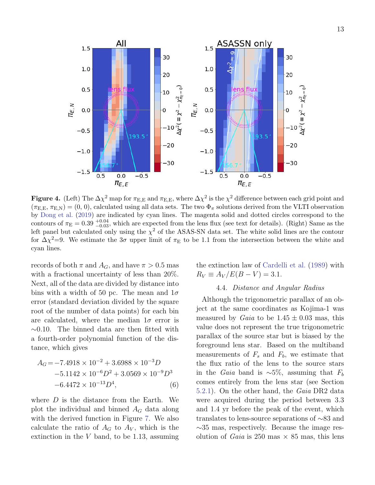

<span id="page-14-1"></span>Figure 4. (Left) The  $\Delta\chi^2$  map for  $\pi_{\rm E,E}$  and  $\pi_{\rm E,E}$ , where  $\Delta\chi^2$  is the  $\chi^2$  difference between each grid point and  $(\pi_{E,E}, \pi_{E,N}) = (0, 0)$ , calculated using all data sets. The two  $\Phi_{\pi}$  solutions derived from the VLTI observation by [Dong et al.](#page-27-4) [\(2019](#page-27-4)) are indicated by cyan lines. The magenta solid and dotted circles correspond to the contours of  $\pi_{\rm E} = 0.39$   $^{+0.04}_{-0.03}$ , which are expected from the lens flux (see text for details). (Right) Same as the left panel but calculated only using the  $\chi^2$  of the ASAS-SN data set. The white solid lines are the contour for  $\Delta \chi^2 = 9$ . We estimate the 3 $\sigma$  upper limit of  $\pi_E$  to be 1.1 from the intersection between the white and cyan lines.

records of both  $\pi$  and  $A_G$ , and have  $\pi > 0.5$  mas with a fractional uncertainty of less than 20%. Next, all of the data are divided by distance into bins with a width of 50 pc. The mean and  $1\sigma$ error (standard deviation divided by the square root of the number of data points) for each bin are calculated, where the median  $1\sigma$  error is ∼0.10. The binned data are then fitted with a fourth-order polynomial function of the distance, which gives

<span id="page-14-2"></span>
$$
A_G = -7.4918 \times 10^{-2} + 3.6988 \times 10^{-3} D
$$
  
-5.1142 \times 10^{-6} D<sup>2</sup> + 3.0569 \times 10^{-9} D<sup>3</sup>  
-6.4472 \times 10^{-13} D<sup>4</sup>, (6)

where  $D$  is the distance from the Earth. We plot the individual and binned  $A_G$  data along with the derived function in Figure [7.](#page-16-1) We also calculate the ratio of  $A_G$  to  $A_V$ , which is the extinction in the  $V$  band, to be 1.13, assuming <span id="page-14-0"></span>the extinction law of [Cardelli et al.](#page-27-18) [\(1989](#page-27-18)) with  $R_V \equiv A_V / E(B - V) = 3.1.$ 

# 4.4. Distance and Angular Radius

Although the trigonometric parallax of an object at the same coordinates as Kojima-1 was measured by *Gaia* to be  $1.45 \pm 0.03$  mas, this value does not represent the true trigonometric parallax of the source star but is biased by the foreground lens star. Based on the multiband measurements of  $F_s$  and  $F_b$ , we estimate that the flux ratio of the lens to the source stars in the *Gaia* band is  $\sim 5\%$ , assuming that  $F_b$ comes entirely from the lens star (see Section [5.2.1\)](#page-17-1). On the other hand, the Gaia DR2 data were acquired during the period between 3.3 and 1.4 yr before the peak of the event, which translates to lens-source separations of ∼83 and ∼35 mas, respectively. Because the image resolution of *Gaia* is 250 mas  $\times$  85 mas, this lens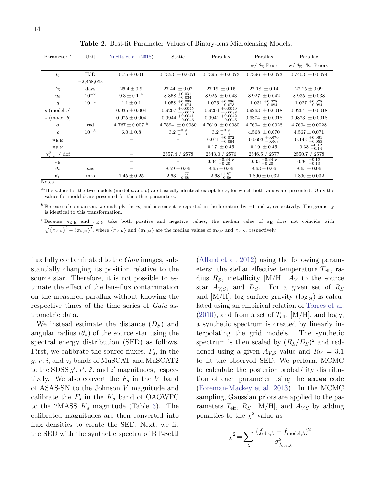| Parameter <sup>a</sup>           | Unit         | Nucita et al. (2018) | Static                           | Parallax                         | Parallax                           | Parallax                              |
|----------------------------------|--------------|----------------------|----------------------------------|----------------------------------|------------------------------------|---------------------------------------|
|                                  |              |                      |                                  |                                  | $w / \theta_{\rm E}$ Prior         | $w/\theta_{\rm E}, \Phi_{\pi}$ Priors |
| $t_0$                            | HJD          | $0.75 \pm 0.01$      | $0.7353 \pm 0.0076$              | $0.7395 \pm 0.0073$              | $0.7396 \pm 0.0073$                | $0.7403 \pm 0.0074$                   |
|                                  | $-2,458,058$ |                      |                                  |                                  |                                    |                                       |
| $t_{\rm E}$                      | days         | $26.4 \pm 0.9$       | $27.44 \pm 0.07$                 | $27.19 \pm 0.15$                 | $27.18 \pm 0.14$                   | $27.25 \pm 0.09$                      |
| $u_0$                            | $10^{-2}$    | $9.3 \pm 0.1$ b      | $+0.031$<br>8.858<br>$-0.034$    | $8.925 \pm 0.043$                | $8.927 \pm 0.042$                  | 8.935<br>$\pm 0.038$                  |
| q                                | $10^{-4}$    | $1.1 \pm 0.1$        | $+0.068$<br>1.058<br>$-0.074$    | $^{+0.066}_{-0.073}$<br>1.075    | $+0.078$<br>$-0.084$<br>1.031      | $+0.078$<br>$-0.084$<br>1.027         |
| $s \pmod{a}$                     |              | $0.935 \pm 0.004$    | $+0.0045$<br>0.9207<br>$-0.0040$ | $+0.0040$<br>0.9204<br>$-0.0038$ | 0.9263<br>$\pm 0.0018$             | $0.9264 \pm 0.0018$                   |
| $s \pmod{b}$                     |              | $0.975 \pm 0.004$    | $+0.0041$<br>0.9944<br>$-0.0046$ | $+0.0042$<br>0.9941<br>$-0.0045$ | $0.9874 \pm 0.0018$                | $0.9873 \pm 0.0018$                   |
| $\alpha$                         | rad          | $4.767 \pm 0.007$ b  | $4.7594 \pm 0.0030$              | 4.7610<br>$\pm 0.0030$           | $4.7604 \pm 0.0028$                | $4.7604 \pm 0.0028$                   |
| $\rho$                           | $10^{-3}$    | $6.0 \pm 0.8$        | $3.2^{+0.9}_{-1.3}$              | $3.2^{+0.9}_{-1.2}$<br>$-1.3$    | $4.568 \pm 0.070$                  | $4.567 \pm 0.071$                     |
| $\pi_{\rm E,E}$                  |              |                      |                                  | $^{+0.072}_{-0.064}$<br>0.071    | $0.0693 + 0.070$ <sub>-0.063</sub> | $0.143 + 0.061$ <sub>-0.053</sub>     |
| $\pi_{\rm E,N}$                  |              |                      |                                  | $0.17 \pm 0.45$                  | $0.19 \pm 0.45$                    | $-0.33$ $^{+0.12}_{-0.14}$            |
| $\chi^2_{\rm min}$ / dof         |              |                      | 2578<br>2557.4 /                 | 2543.0 / 2576                    | 2546.5 / 2577                      | 2550.7 / 2578                         |
| $\pi_{\rm E}$                    |              |                      |                                  | $0.34$ $^{+0.34}_{-0.20}$ c      | $0.35$ $^{+0.34}_{-0.20}$ c        | $0.36^{+0.16}_{-0.13}$                |
| $\theta_*$                       | $\mu$ as     |                      | $8.59 \pm 0.06$                  | $8.65 \pm 0.06$                  | $8.63 \pm 0.06$                    | $8.63 \pm 0.06$                       |
| $\theta_{\rm E}$<br>$NT - 1 - 1$ | mas          | $1.45 \pm 0.25$      | $2.63$ $+1.77$<br>$-0.58$        | $2.68^{+1.87}_{-0.59}$           | $1.890 \pm 0.032$                  | $1.890 \pm 0.032$                     |

<span id="page-15-0"></span>Table 2. Best-fit Parameter Values of Binary-lens Microlensing Models.

Notes.

<sup>a</sup>The values for the two models (model a and b) are basically identical except for s, for which both values are presented. Only the values for model b are presented for the other parameters.

<sup>b</sup> For ease of comparison, we multiply the u<sub>0</sub> and increment α reported in the literature by  $-1$  and  $\pi$ , respectively. The geometry is identical to this transformation.

 $c$  Because  $\pi_{E,E}$  and  $\pi_{E,N}$  take both positive and negative values, the median value of  $\pi_E$  does not coincide with  $\sqrt{(\pi_E)^2 + (\pi_E)^2}$  where  $(\pi_E)$  and  $(\pi_E)$  are the median values of  $\pi_E$  and  $\pi_E$  is respectively  $(\pi_{E,E})^2 + (\pi_{E,N})^2$ , where  $(\pi_{E,E})$  and  $(\pi_{E,N})$  are the median values of  $\pi_{E,E}$  and  $\pi_{E,N}$ , respectively.

flux fully contaminated to the *Gaia* images, substantially changing its position relative to the source star. Therefore, it is not possible to estimate the effect of the lens-flux contamination on the measured parallax without knowing the respective times of the time series of Gaia astrometric data.

We instead estimate the distance  $(D<sub>S</sub>)$  and angular radius  $(\theta_*)$  of the source star using the spectral energy distribution (SED) as follows. First, we calibrate the source fluxes,  $F_s$ , in the  $g, r, i$ , and  $z_s$  bands of MuSCAT and MuSCAT2 to the SDSS  $g'$ ,  $r'$ ,  $i'$ , and  $z'$  magnitudes, respectively. We also convert the  $F_s$  in the V band of ASAS-SN to the Johnson V magnitude and calibrate the  $F_s$  in the  $K_s$  band of OAOWFC to the 2MASS  $K_s$  magnitude (Table [3\)](#page-17-2). The calibrated magnitudes are then converted into flux densities to create the SED. Next, we fit the SED with the synthetic spectra of BT-Settl

[\(Allard et al. 2012\)](#page-27-19) using the following parameters: the stellar effective temperature  $T_{\text{eff}}$ , radius  $R<sub>S</sub>$ , metallicity [M/H],  $A<sub>V</sub>$  to the source star  $A_{V,S}$ , and  $D_S$ . For a given set of  $R_S$ and  $[M/H]$ , log surface gravity  $(\log q)$  is calculated using an empirical relation of [Torres et al.](#page-28-18) [\(2010\)](#page-28-18), and from a set of  $T_{\text{eff}}$ , [M/H], and  $\log g$ , a synthetic spectrum is created by linearly interpolating the grid models. The synthetic spectrum is then scaled by  $(R_S/D_S)^2$  and reddened using a given  $A_{VS}$  value and  $R_V = 3.1$ to fit the observed SED. We perform MCMC to calculate the posterior probability distribution of each parameter using the emcee code [\(Foreman-Mackey et al. 2013\)](#page-27-20). In the MCMC sampling, Gaussian priors are applied to the parameters  $T_{\text{eff}}$ ,  $R_S$ , [M/H], and  $A_{V,S}$  by adding penalties to the  $\chi^2$  value as

$$
\chi^2 = \sum_{\lambda} \frac{(f_{\text{obs},\lambda} - f_{\text{model},\lambda})^2}{\sigma_{f_{\text{obs},\lambda}}^2}
$$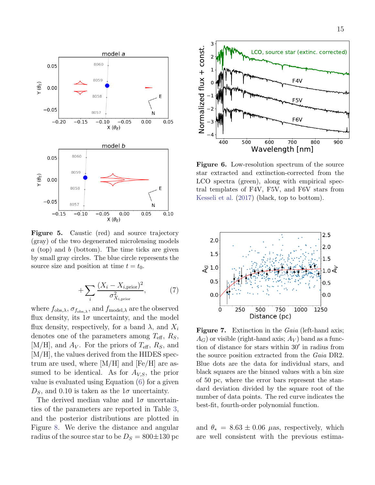

Figure 5. Caustic (red) and source trajectory (gray) of the two degenerated microlensing models  $a$  (top) and  $b$  (bottom). The time ticks are given by small gray circles. The blue circle represents the source size and position at time  $t = t_0$ .

$$
+\sum_{i}\frac{(X_i - X_{i,\text{prior}})^2}{\sigma_{X_{i,\text{prior}}}^2},\tag{7}
$$

where  $f_{obs,\lambda}$ ,  $\sigma_{f_{obs,\lambda}}$ , and  $f_{model,\lambda}$  are the observed flux density, its  $1\sigma$  uncertainty, and the model flux density, respectively, for a band  $\lambda$ , and  $X_i$ denotes one of the parameters among  $T_{\text{eff}}$ ,  $R_S$ ,  $[M/H]$ , and  $A_V$ . For the priors of  $T_{\text{eff}}$ ,  $R_S$ , and [M/H], the values derived from the HIDES spectrum are used, where  $[M/H]$  and  $[Fe/H]$  are assumed to be identical. As for  $A_{V,S}$ , the prior value is evaluated using Equation [\(6\)](#page-14-2) for a given  $D<sub>S</sub>$ , and 0.10 is taken as the  $1\sigma$  uncertainty.

The derived median value and  $1\sigma$  uncertainties of the parameters are reported in Table [3,](#page-17-2) and the posterior distributions are plotted in Figure [8.](#page-19-0) We derive the distance and angular radius of the source star to be  $D<sub>S</sub> = 800 \pm 130$  pc



<span id="page-16-0"></span>Figure 6. Low-resolution spectrum of the source star extracted and extinction-corrected from the LCO spectra (green), along with empirical spectral templates of F4V, F5V, and F6V stars from [Kesseli et al.](#page-27-15) [\(2017](#page-27-15)) (black, top to bottom).



<span id="page-16-1"></span>Figure 7. Extinction in the *Gaia* (left-hand axis;  $A_G$ ) or visible (right-hand axis;  $A_V$ ) band as a function of distance for stars within 30′ in radius from the source position extracted from the Gaia DR2. Blue dots are the data for individual stars, and black squares are the binned values with a bin size of 50 pc, where the error bars represent the standard deviation divided by the square root of the number of data points. The red curve indicates the best-fit, fourth-order polynomial function.

and  $\theta_* = 8.63 \pm 0.06$  µas, respectively, which are well consistent with the previous estima-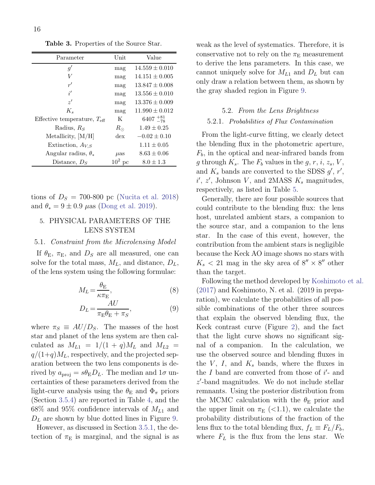<span id="page-17-2"></span>Table 3. Properties of the Source Star.

| Parameter                               | Unit           | Value              |
|-----------------------------------------|----------------|--------------------|
| g'                                      | mag            | $14.559 \pm 0.010$ |
| V                                       | mag            | $14.151 \pm 0.005$ |
| r'                                      | mag            | $13.847 \pm 0.008$ |
| i'                                      | mag            | $13.556 \pm 0.010$ |
| z'                                      | mag            | $13.376 \pm 0.009$ |
| $K_{\rm s}$                             | mag            | $11.990 \pm 0.012$ |
| Effective temperature, $T_{\text{eff}}$ | K              | $6407 + 81$        |
| Radius, $R_S$                           | $R_{\odot}$    | $1.49 \pm 0.25$    |
| Metallicity, $[M/H]$                    | $\frac{d}{dx}$ | $-0.02 \pm 0.10$   |
| Extinction, $A_{V,S}$                   |                | $1.11 \pm 0.05$    |
| Angular radius, $\theta_*$              | $\mu$ as       | $8.63 \pm 0.06$    |
| Distance, $DS$                          | $10^2$ pc      | $8.0 \pm 1.3$      |

tions of  $D<sub>S</sub> = 700-800$  pc [\(Nucita et al. 2018\)](#page-28-4) and  $\theta_* = 9 \pm 0.9 \ \mu$ as [\(Dong et al. 2019](#page-27-4)).

# <span id="page-17-0"></span>5. PHYSICAL PARAMETERS OF THE LENS SYSTEM

## <span id="page-17-3"></span>5.1. Constraint from the Microlensing Model

If  $\theta_{\rm E}$ ,  $\pi_{\rm E}$ , and  $D_S$  are all measured, one can solve for the total mass,  $M_L$ , and distance,  $D_L$ , of the lens system using the following formulae:

$$
M_L = \frac{\theta_{\rm E}}{\kappa \pi_{\rm E}},\tag{8}
$$

$$
D_L = \frac{AU}{\pi_{\rm E}\theta_{\rm E} + \pi_S},\tag{9}
$$

where  $\pi_S \equiv AU/D_S$ . The masses of the host star and planet of the lens system are then calculated as  $M_{L1} = 1/(1 + q)M_L$  and  $M_{L2} =$  $q/(1+q)M_L$ , respectively, and the projected separation between the two lens components is derived by  $a_{\text{proj}} = s\theta_{\text{E}}D_{L}$ . The median and  $1\sigma$  uncertainties of these parameters derived from the light-curve analysis using the  $\theta_{\rm E}$  and  $\Phi_{\pi}$  priors (Section [3.5.4\)](#page-12-1) are reported in Table [4,](#page-18-1) and the 68\% and 95\% confidence intervals of  $M_{L1}$  and  $D<sub>L</sub>$  are shown by blue dotted lines in Figure [9.](#page-20-0)

However, as discussed in Section [3.5.1,](#page-10-2) the detection of  $\pi_{\rm E}$  is marginal, and the signal is as weak as the level of systematics. Therefore, it is conservative not to rely on the  $\pi_{\rm E}$  measurement to derive the lens parameters. In this case, we cannot uniquely solve for  $M_{L1}$  and  $D_L$  but can only draw a relation between them, as shown by the gray shaded region in Figure [9.](#page-20-0)

# <span id="page-17-1"></span>5.2. From the Lens Brightness 5.2.1. Probabilities of Flux Contamination

From the light-curve fitting, we clearly detect the blending flux in the photometric aperture,  $F_b$ , in the optical and near-infrared bands from g through  $K_s$ . The  $F_b$  values in the  $g, r, i, z_s, V$ , and  $K_s$  bands are converted to the SDSS  $g'$ ,  $r'$ ,  $i', z',$  Johnson V, and 2MASS  $K_s$  magnitudes, respectively, as listed in Table [5.](#page-21-1)

Generally, there are four possible sources that could contribute to the blending flux: the lens host, unrelated ambient stars, a companion to the source star, and a companion to the lens star. In the case of this event, however, the contribution from the ambient stars is negligible because the Keck AO image shows no stars with  $K_s < 21$  mag in the sky area of  $8'' \times 8''$  other than the target.

Following the method developed by [Koshimoto et al.](#page-28-19) [\(2017\)](#page-28-19) and Koshimoto, N. et al. (2019 in preparation), we calculate the probabilities of all possible combinations of the other three sources that explain the observed blending flux, the Keck contrast curve (Figure [2\)](#page-9-1), and the fact that the light curve shows no significant signal of a companion. In the calculation, we use the observed source and blending fluxes in the  $V$ ,  $I$ , and  $K_s$  bands, where the fluxes in the  $I$  band are converted from those of  $i'$ - and z ′ -band magnitudes. We do not include stellar remnants. Using the posterior distribution from the MCMC calculation with the  $\theta_{\rm E}$  prior and the upper limit on  $\pi_{\rm E}$  (<1.1), we calculate the probability distributions of the fraction of the lens flux to the total blending flux,  $f_L \equiv F_L/F_b$ , where  $F_L$  is the flux from the lens star. We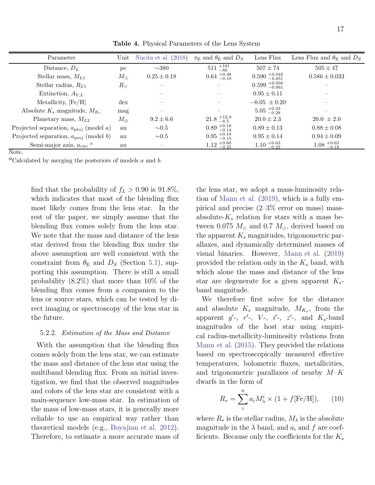| Parameter                                         | Unit           | Nucita et al. $(2018)$ | $\pi_{\rm E}$ and $\theta_{\rm E}$ and $D_S$ | Lens Flux                                    | Lens Flux and $\theta_{\rm E}$ and $D_S$     |
|---------------------------------------------------|----------------|------------------------|----------------------------------------------|----------------------------------------------|----------------------------------------------|
| Distance, $D_L$                                   | pc             | $\sim 380$             | $511 +101 \ +80$                             | $507 + 74$                                   | $505 \pm 47$                                 |
| Stellar mass, $M_{L1}$                            | $M_{\odot}$    | $0.25 \pm 0.18$        | $0.64^{+0.38}_{-0.19}$                       | $0.590_{-0.051}^{+0.042}$                    | $0.586 \pm 0.033$                            |
| Stellar radius, $R_{L1}$                          | $R_{\odot}$    |                        |                                              | $0.599 + 0.056$                              |                                              |
| Extinction, $A_{V,L}$                             |                |                        |                                              | $0.95 \pm 0.11$                              |                                              |
| Metallicity, $[Fe/H]$                             | $\frac{d}{dx}$ |                        |                                              | $-0.05 \pm 0.20$                             |                                              |
| Absolute $K_s$ magnitude, $M_{K_s}$               | mag            |                        |                                              | $5.05_{\,-0.28}^{\,+0.33}$                   |                                              |
| Planetary mass, $M_{L2}$                          | $M_{\oplus}$   | $9.2 \pm 6.6$          | $21.8_{\phantom{0}-6.5}^{\phantom{0}+12.9}$  | $20.0 \pm 2.3$                               | $20.0 \pm 2.0$                               |
| Projected separation, $a_{\text{proj}}$ (model a) | au             | $\sim 0.5$             | $0.89_{\phantom{0}-0.14}^{\phantom{0}+0.18}$ | $0.89 \pm 0.13$                              | $0.88 \pm 0.08$                              |
| Projected separation, $a_{\text{proj}}$ (model b) | au             | $\sim 0.5$             | $0.95_{\phantom{0}-0.15}^{\phantom{0}+0.19}$ | $0.95 \pm 0.14$                              | $0.94 \pm 0.09$                              |
| Semi-major axis, $a_{\rm circ}$ <sup>a</sup>      | au             | $\qquad \qquad$        | $1.12^{+0.66}_{-0.25}$                       | $1.10_{\phantom{0}-0.22}^{\phantom{0}+0.63}$ | $1.08_{\phantom{0}-0.18}^{\phantom{0}+0.62}$ |

<span id="page-18-1"></span>Table 4. Physical Parameters of the Lens System

Note.

<sup>a</sup>Calculated by merging the posteriors of models  $a$  and  $b$ .

find that the probability of  $f_L > 0.90$  is 91.8%, which indicates that most of the blending flux most likely comes from the lens star. In the rest of the paper, we simply assume that the blending flux comes solely from the lens star. We note that the mass and distance of the lens star derived from the blending flux under the above assumption are well consistent with the constraint from  $\theta_{\rm E}$  and  $D_S$  (Section [5.1\)](#page-17-3), supporting this assumption. There is still a small probability (8.2%) that more than 10% of the blending flux comes from a companion to the lens or source stars, which can be tested by direct imaging or spectroscopy of the lens star in the future.

### <span id="page-18-0"></span>5.2.2. Estimation of the Mass and Distance

With the assumption that the blending flux comes solely from the lens star, we can estimate the mass and distance of the lens star using the multiband blending flux. From an initial investigation, we find that the observed magnitudes and colors of the lens star are consistent with a main-sequence low-mass star. In estimation of the mass of low-mass stars, it is generally more reliable to use an empirical way rather than theoretical models (e.g., [Boyajian et al. 2012](#page-27-21)). Therefore, to estimate a more accurate mass of the lens star, we adopt a mass-luminosity relation of [Mann et al.](#page-28-20) [\(2019\)](#page-28-20), which is a fully empirical and precise (2–3% error on mass) massabsolute- $K_s$  relation for stars with a mass between 0.075  $M_{\odot}$  and 0.7  $M_{\odot}$ , derived based on the apparent  $K_s$  magnitudes, trigonometric parallaxes, and dynamically determined masses of visual binaries. However, [Mann et al.](#page-28-20) [\(2019\)](#page-28-20) provided the relation only in the  $K_s$  band, with which alone the mass and distance of the lens star are degenerate for a given apparent  $K_s$ band magnitude.

We therefore first solve for the distance and absolute  $K_s$  magnitude,  $M_{K_s}$ , from the apparent  $g'$ -,  $r'$ -,  $V$ -,  $i'$ -,  $z'$ -, and  $K_s$ -band magnitudes of the host star using empirical radius-metallicity-luminosity relations from [Mann et al.](#page-28-21) [\(2015\)](#page-28-21). They provided the relations based on spectroscopically measured effective temperatures, bolometric fluxes, metallicities, and trigonometric parallaxes of nearby  $M-K$ dwarfs in the form of

<span id="page-18-2"></span>
$$
R_* = \sum_{i}^{n} a_i M_{\lambda}^i \times (1 + f[\text{Fe/H}]), \qquad (10)
$$

where  $R_*$  is the stellar radius,  $M_{\lambda}$  is the absolute magnitude in the  $\lambda$  band, and  $a_i$  and f are coefficients. Because only the coefficients for the  $K_s$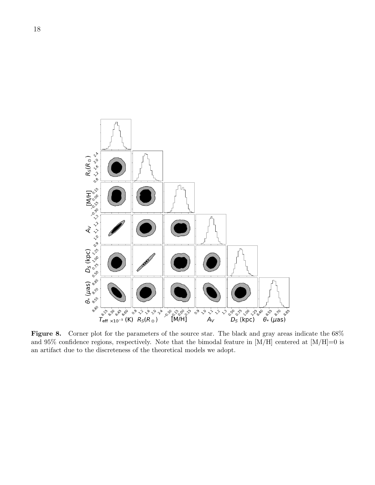

<span id="page-19-0"></span>Figure 8. Corner plot for the parameters of the source star. The black and gray areas indicate the 68% and 95% confidence regions, respectively. Note that the bimodal feature in  $[M/H]$  centered at  $[M/H]=0$  is an artifact due to the discreteness of the theoretical models we adopt.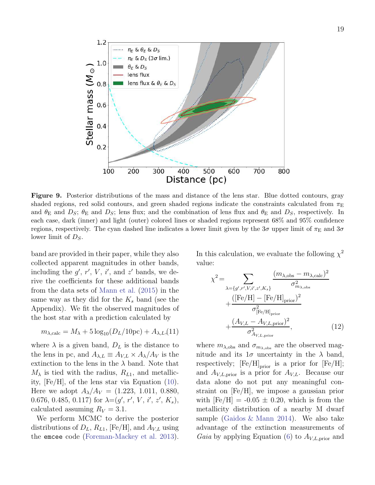

<span id="page-20-0"></span>Figure 9. Posterior distributions of the mass and distance of the lens star. Blue dotted contours, gray shaded regions, red solid contours, and green shaded regions indicate the constraints calculated from  $\pi_{\rm E}$ and  $\theta_{\rm E}$  and  $D_S$ ;  $\theta_{\rm E}$  and  $D_S$ ; lens flux; and the combination of lens flux and  $\theta_{\rm E}$  and  $D_S$ , respectively. In each case, dark (inner) and light (outer) colored lines or shaded regions represent 68% and 95% confidence regions, respectively. The cyan dashed line indicates a lower limit given by the  $3\sigma$  upper limit of  $\pi_{\rm E}$  and  $3\sigma$ lower limit of  $D<sub>S</sub>$ .

band are provided in their paper, while they also collected apparent magnitudes in other bands, including the  $g'$ ,  $r'$ ,  $V$ ,  $i'$ , and  $z'$  bands, we derive the coefficients for these additional bands from the data sets of [Mann et al.](#page-28-21) [\(2015\)](#page-28-21) in the same way as they did for the  $K_s$  band (see the Appendix). We fit the observed magnitudes of the host star with a prediction calculated by

$$
m_{\lambda,\text{calc}} = M_{\lambda} + 5\log_{10}(D_L/10\text{pc}) + A_{\lambda,L}(11)
$$

where  $\lambda$  is a given band,  $D<sub>L</sub>$  is the distance to the lens in pc, and  $A_{\lambda,L} \equiv A_{V,L} \times A_{\lambda}/A_V$  is the extinction to the lens in the  $\lambda$  band. Note that  $M_{\lambda}$  is tied with the radius,  $R_{L1}$ , and metallicity, [Fe/H], of the lens star via Equation [\(10\)](#page-18-2). Here we adopt  $A_{\lambda}/A_{V} = (1.223, 1.011, 0.880,$ 0.676, 0.485, 0.117) for  $\lambda = (g', r', V, i', z', K_s)$ , calculated assuming  $R_V = 3.1$ .

We perform MCMC to derive the posterior distributions of  $D_L$ ,  $R_{L1}$ , [Fe/H], and  $A_{V,L}$  using the emcee code [\(Foreman-Mackey et al. 2013](#page-27-20)).

In this calculation, we evaluate the following  $\chi^2$ value:

$$
\chi^2 = \sum_{\lambda = \{g', r', V, i', z', K_s\}} \frac{(m_{\lambda, \text{obs}} - m_{\lambda, \text{calc}})^2}{\sigma_{m_{\lambda, \text{obs}}}^2} + \frac{([\text{Fe/H}] - [\text{Fe/H}]_{\text{prior}})^2}{\sigma_{[\text{Fe/H}]_{\text{prior}}}^2} + \frac{(A_{V,L} - A_{V,L,\text{prior}})^2}{\sigma_{A_{V,L,\text{prior}}}^2},
$$
(12)

where  $m_{\lambda,obs}$  and  $\sigma_{m_{\lambda,obs}}$  are the observed magnitude and its  $1\sigma$  uncertainty in the  $\lambda$  band, respectively;  $\left[\mathrm{Fe}/\mathrm{H}\right]_\mathrm{prior}$  is a prior for  $\left[\mathrm{Fe}/\mathrm{H}\right];$ and  $A_{V,L,\text{prior}}$  is a prior for  $A_{V,L}$ . Because our data alone do not put any meaningful constraint on [Fe/H], we impose a gaussian prior with  $[Fe/H] = -0.05 \pm 0.20$ , which is from the metallicity distribution of a nearby M dwarf sample [\(Gaidos & Mann 2014](#page-27-22)). We also take advantage of the extinction measurements of *Gaia* by applying Equation [\(6\)](#page-14-2) to  $A_{V,L,\text{prior}}$  and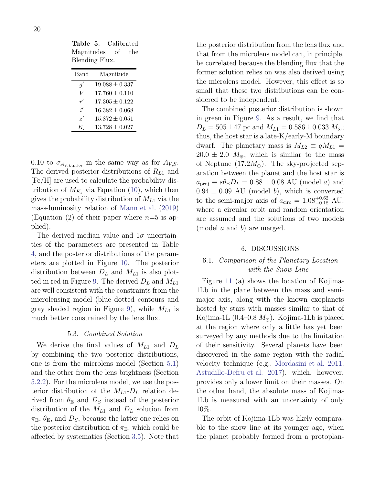<span id="page-21-1"></span>Table 5. Calibrated Magnitudes of the Blending Flux.

| Band             | Magnitude          |
|------------------|--------------------|
| $q^{\prime}$     | $19.088 \pm 0.337$ |
| V                | $17.760 \pm 0.110$ |
| r'               | $17.305 \pm 0.122$ |
| i'               | $16.382 \pm 0.068$ |
| $\gamma'$        | $15.872 \pm 0.051$ |
| $K_{\mathsf{e}}$ | $13.728 \pm 0.027$ |

0.10 to  $\sigma_{A_{V,L,\text{prior}}}$  in the same way as for  $A_{V,S}$ . The derived posterior distributions of  $R_{L1}$  and [Fe/H] are used to calculate the probability distribution of  $M_{K_s}$  via Equation [\(10\)](#page-18-2), which then gives the probability distribution of  $M_{L1}$  via the mass-luminosity relation of [Mann et al.](#page-28-20) [\(2019\)](#page-28-20) (Equation (2) of their paper where  $n=5$  is applied).

The derived median value and  $1\sigma$  uncertainties of the parameters are presented in Table [4,](#page-18-1) and the posterior distributions of the parameters are plotted in Figure [10.](#page-22-0) The posterior distribution between  $D_L$  and  $M_{L1}$  is also plot-ted in red in Figure [9.](#page-20-0) The derived  $D<sub>L</sub>$  and  $M<sub>L1</sub>$ are well consistent with the constraints from the microlensing model (blue dotted contours and gray shaded region in Figure [9\)](#page-20-0), while  $M_{L1}$  is much better constrained by the lens flux.

## 5.3. Combined Solution

We derive the final values of  $M_{L1}$  and  $D_L$ by combining the two posterior distributions, one is from the microlens model (Section [5.1\)](#page-17-3) and the other from the lens brightness (Section [5.2.2\)](#page-18-0). For the microlens model, we use the posterior distribution of the  $M_{L1}$ - $D_L$  relation derived from  $\theta_{\rm E}$  and  $D_S$  instead of the posterior distribution of the  $M_{L1}$  and  $D_L$  solution from  $\pi_{\rm E}, \theta_{\rm E}$ , and  $D_S$ , because the latter one relies on the posterior distribution of  $\pi_{\rm E}$ , which could be affected by systematics (Section [3.5\)](#page-10-3). Note that

the posterior distribution from the lens flux and that from the microlens model can, in principle, be correlated because the blending flux that the former solution relies on was also derived using the microlens model. However, this effect is so small that these two distributions can be considered to be independent.

The combined posterior distribution is shown in green in Figure [9.](#page-20-0) As a result, we find that  $D_L = 505 \pm 47$  pc and  $M_{L1} = 0.586 \pm 0.033$   $M_{\odot}$ ; thus, the host star is a late-K/early-M boundary dwarf. The planetary mass is  $M_{L2} \equiv qM_{L1}$  $20.0 \pm 2.0$   $M_{\oplus}$ , which is similar to the mass of Neptune (17.2 $M_{\oplus}$ ). The sky-projected separation between the planet and the host star is  $a_{\text{proj}} \equiv s\theta_{\text{E}}D_L = 0.88 \pm 0.08$  AU (model a) and  $0.94 \pm 0.09$  AU (model b), which is converted to the semi-major axis of  $a_{\text{circ}} = 1.08_{-0.18}^{+0.62}$  AU, where a circular orbit and random orientation are assumed and the solutions of two models (model a and b) are merged.

# 6. DISCUSSIONS

# <span id="page-21-0"></span>6.1. Comparison of the Planetary Location with the Snow Line

Figure [11](#page-24-0) (a) shows the location of Kojima-1Lb in the plane between the mass and semimajor axis, along with the known exoplanets hosted by stars with masses similar to that of Kojima-1L  $(0.4-0.8 M_{\odot})$ . Kojima-1Lb is placed at the region where only a little has yet been surveyed by any methods due to the limitation of their sensitivity. Several planets have been discovered in the same region with the radial velocity technique (e.g., [Mordasini et al. 2011;](#page-28-22) [Astudillo-Defru et al. 2017\)](#page-27-23), which, however, provides only a lower limit on their masses. On the other hand, the absolute mass of Kojima-1Lb is measured with an uncertainty of only 10%.

The orbit of Kojima-1Lb was likely comparable to the snow line at its younger age, when the planet probably formed from a protoplan-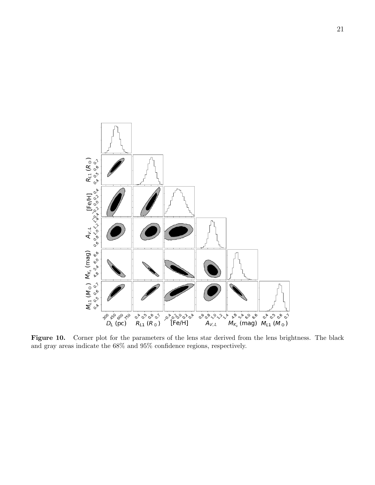

<span id="page-22-0"></span>Figure 10. Corner plot for the parameters of the lens star derived from the lens brightness. The black and gray areas indicate the 68% and 95% confidence regions, respectively.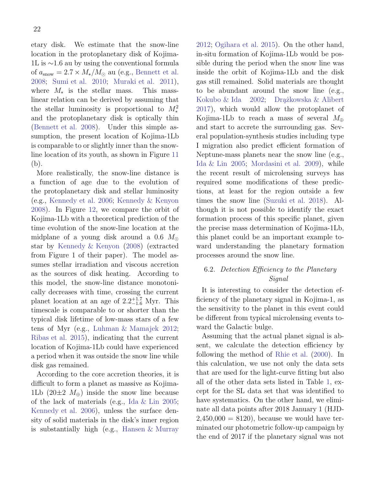etary disk. We estimate that the snow-line location in the protoplanetary disk of Kojima-1L is ∼1.6 au by using the conventional formula of  $a_{\text{snow}} = 2.7 \times M_*/M_{\odot}$  au (e.g., [Bennett et al.](#page-27-1) [2008](#page-27-1); [Sumi et al. 2010;](#page-28-16) [Muraki et al. 2011](#page-28-23)), where  $M_*$  is the stellar mass. This masslinear relation can be derived by assuming that the stellar luminosity is proportional to  $M_*^2$ and the protoplanetary disk is optically thin [\(Bennett et al. 2008\)](#page-27-1). Under this simple assumption, the present location of Kojima-1Lb is comparable to or slightly inner than the snowline location of its youth, as shown in Figure [11](#page-24-0) (b).

More realistically, the snow-line distance is a function of age due to the evolution of the protoplanetary disk and stellar luminosity (e.g., [Kennedy et al. 2006;](#page-27-24) [Kennedy & Kenyon](#page-27-25) [2008](#page-27-25)). In Figure [12,](#page-24-1) we compare the orbit of Kojima-1Lb with a theoretical prediction of the time evolution of the snow-line location at the midplane of a young disk around a 0.6  $M_{\odot}$ star by [Kennedy & Kenyon](#page-27-25) [\(2008](#page-27-25)) (extracted from Figure 1 of their paper). The model assumes stellar irradiation and viscous accretion as the sources of disk heating. According to this model, the snow-line distance monotonically decreases with time, crossing the current planet location at an age of  $2.2^{+1.7}_{-1.6}$  Myr. This timescale is comparable to or shorter than the typical disk lifetime of low-mass stars of a few tens of Myr (e.g., [Luhman & Mamajek 2012;](#page-28-24) [Ribas et al. 2015](#page-28-25)), indicating that the current location of Kojima-1Lb could have experienced a period when it was outside the snow line while disk gas remained.

According to the core accretion theories, it is difficult to form a planet as massive as Kojima-1Lb (20 $\pm$ 2  $M_{\oplus}$ ) inside the snow line because of the lack of materials (e.g., [Ida & Lin 2005;](#page-27-26) [Kennedy et al. 2006](#page-27-24)), unless the surface density of solid materials in the disk's inner region is substantially high (e.g., [Hansen & Murray](#page-27-27)

[2012](#page-27-27); [Ogihara et al. 2015\)](#page-28-26). On the other hand, in-situ formation of Kojima-1Lb would be possible during the period when the snow line was inside the orbit of Kojima-1Lb and the disk gas still remained. Solid materials are thought to be abundant around the snow line (e.g., [Kokubo & Ida 2002;](#page-27-28) Drążkowska & Alibert [2017](#page-27-29)), which would allow the protoplanet of Kojima-1Lb to reach a mass of several  $M_{\oplus}$ and start to accrete the surrounding gas. Several population-synthesis studies including type I migration also predict efficient formation of Neptune-mass planets near the snow line (e.g., [Ida & Lin 2005;](#page-27-26) [Mordasini et al. 2009\)](#page-28-27), while the recent result of microlensing surveys has required some modifications of these predictions, at least for the region outside a few times the snow line [\(Suzuki et al. 2018\)](#page-28-28). Although it is not possible to identify the exact formation process of this specific planet, given the precise mass determination of Kojima-1Lb, this planet could be an important example toward understanding the planetary formation processes around the snow line.

# <span id="page-23-0"></span>6.2. Detection Efficiency to the Planetary Signal

It is interesting to consider the detection efficiency of the planetary signal in Kojima-1, as the sensitivity to the planet in this event could be different from typical microlensing events toward the Galactic bulge.

Assuming that the actual planet signal is absent, we calculate the detection efficiency by following the method of [Rhie et al.](#page-28-29) [\(2000\)](#page-28-29). In this calculation, we use not only the data sets that are used for the light-curve fitting but also all of the other data sets listed in Table [1,](#page-8-0) except for the SL data set that was identified to have systematics. On the other hand, we eliminate all data points after 2018 January 1 (HJD- $2,450,000 = 8120$ , because we would have terminated our photometric follow-up campaign by the end of 2017 if the planetary signal was not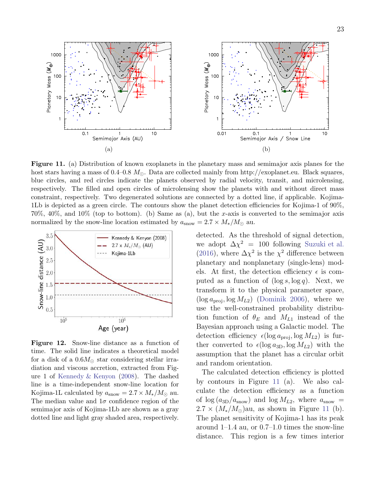

<span id="page-24-0"></span>Figure 11. (a) Distribution of known exoplanets in the planetary mass and semimajor axis planes for the host stars having a mass of 0.4–0.8  $M_{\odot}$ . Data are collected mainly from http://exoplanet.eu. Black squares, blue circles, and red circles indicate the planets observed by radial velocity, transit, and microlensing, respectively. The filled and open circles of microlensing show the planets with and without direct mass constraint, respectively. Two degenerated solutions are connected by a dotted line, if applicable. Kojima-1Lb is depicted as a green circle. The contours show the planet detection efficiencies for Kojima-1 of 90%, 70%, 40%, and 10% (top to bottom). (b) Same as (a), but the x-axis is converted to the semimajor axis normalized by the snow-line location estimated by  $a_{\text{snow}} = 2.7 \times M_*/M_{\odot}$  au.



<span id="page-24-1"></span>Figure 12. Snow-line distance as a function of time. The solid line indicates a theoretical model for a disk of a  $0.6M_{\odot}$  star considering stellar irradiation and viscous accretion, extracted from Figure 1 of [Kennedy & Kenyon](#page-27-25) [\(2008](#page-27-25)). The dashed line is a time-independent snow-line location for Kojima-1L calculated by  $a_{\text{snow}} = 2.7 \times M_*/M_{\odot}$  au. The median value and  $1\sigma$  confidence region of the semimajor axis of Kojima-1Lb are shown as a gray dotted line and light gray shaded area, respectively.

detected. As the threshold of signal detection, we adopt  $\Delta \chi^2 = 100$  following [Suzuki et al.](#page-28-1) [\(2016\)](#page-28-1), where  $\Delta \chi^2$  is the  $\chi^2$  difference between planetary and nonplanetary (single-lens) models. At first, the detection efficiency  $\epsilon$  is computed as a function of  $(\log s, \log q)$ . Next, we transform it to the physical parameter space,  $(\log a_{\rm proj}, \log M_{L2})$  [\(Dominik 2006\)](#page-27-30), where we use the well-constrained probability distribution function of  $\theta_E$  and  $M_{L1}$  instead of the Bayesian approach using a Galactic model. The detection efficiency  $\epsilon(\log a_{\text{proj}}, \log M_{L2})$  is further converted to  $\epsilon(\log a_{3D}, \log M_{L2})$  with the assumption that the planet has a circular orbit and random orientation.

The calculated detection efficiency is plotted by contours in Figure [11](#page-24-0) (a). We also calculate the detection efficiency as a function of  $\log (a_{3D}/a_{\text{snow}})$  and  $\log M_{L2}$ , where  $a_{\text{snow}} =$  $2.7 \times (M_*/M_{\odot})$ au, as shown in Figure [11](#page-24-0) (b). The planet sensitivity of Kojima-1 has its peak around 1–1.4 au, or 0.7–1.0 times the snow-line distance. This region is a few times interior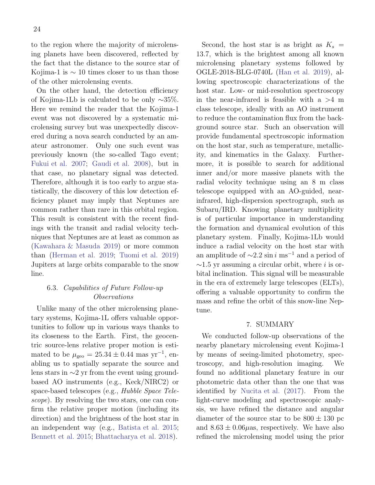to the region where the majority of microlensing planets have been discovered, reflected by the fact that the distance to the source star of Kojima-1 is  $\sim$  10 times closer to us than those of the other microlensing events.

On the other hand, the detection efficiency of Kojima-1Lb is calculated to be only ∼35%. Here we remind the reader that the Kojima-1 event was not discovered by a systematic microlensing survey but was unexpectedly discovered during a nova search conducted by an amateur astronomer. Only one such event was previously known (the so-called Tago event; [Fukui et al. 2007](#page-27-31); [Gaudi et al. 2008](#page-27-32)), but in that case, no planetary signal was detected. Therefore, although it is too early to argue statistically, the discovery of this low detection efficiency planet may imply that Neptunes are common rather than rare in this orbital region. This result is consistent with the recent findings with the transit and radial velocity techniques that Neptunes are at least as common as [\(Kawahara & Masuda 2019\)](#page-27-33) or more common than [\(Herman et al. 2019;](#page-27-34) [Tuomi et al. 2019\)](#page-28-30) Jupiters at large orbits comparable to the snow line.

# 6.3. Capabilities of Future Follow-up Observations

Unlike many of the other microlensing planetary systems, Kojima-1L offers valuable opportunities to follow up in various ways thanks to its closeness to the Earth. First, the geocentric source-lens relative proper motion is estimated to be  $\mu_{\text{geo}} = 25.34 \pm 0.44 \text{ mas yr}^{-1}$ , enabling us to spatially separate the source and lens stars in ∼2 yr from the event using groundbased AO instruments (e.g., Keck/NIRC2) or space-based telescopes (e.g., Hubble Space Telescope). By resolving the two stars, one can confirm the relative proper motion (including its direction) and the brightness of the host star in an independent way (e.g., [Batista et al. 2015;](#page-27-35) [Bennett et al. 2015;](#page-27-36) [Bhattacharya et al. 2018](#page-27-37)).

Second, the host star is as bright as  $K_s =$ 13.7, which is the brightest among all known microlensing planetary systems followed by OGLE-2018-BLG-0740L [\(Han et al. 2019](#page-27-38)), allowing spectroscopic characterizations of the host star. Low- or mid-resolution spectroscopy in the near-infrared is feasible with  $a > 4$  m class telescope, ideally with an AO instrument to reduce the contamination flux from the background source star. Such an observation will provide fundamental spectroscopic information on the host star, such as temperature, metallicity, and kinematics in the Galaxy. Furthermore, it is possible to search for additional inner and/or more massive planets with the radial velocity technique using an 8 m class telescope equipped with an AO-guided, nearinfrared, high-dispersion spectrograph, such as Subaru/IRD. Knowing planetary multiplicity is of particular importance in understanding the formation and dynamical evolution of this planetary system. Finally, Kojima-1Lb would induce a radial velocity on the host star with an amplitude of  $\sim$ 2.2 sin i ms<sup>-1</sup> and a period of  $\sim$ 1.5 yr assuming a circular orbit, where *i* is orbital inclination. This signal will be measurable in the era of extremely large telescopes (ELTs), offering a valuable opportunity to confirm the mass and refine the orbit of this snow-line Neptune.

#### 7. SUMMARY

<span id="page-25-0"></span>We conducted follow-up observations of the nearby planetary microlensing event Kojima-1 by means of seeing-limited photometry, spectroscopy, and high-resolution imaging. We found no additional planetary feature in our photometric data other than the one that was identified by [Nucita et al.](#page-28-8) [\(2017\)](#page-28-8). From the light-curve modeling and spectroscopic analysis, we have refined the distance and angular diameter of the source star to be  $800 \pm 130$  pc and  $8.63 \pm 0.06 \mu$ as, respectively. We have also refined the microlensing model using the prior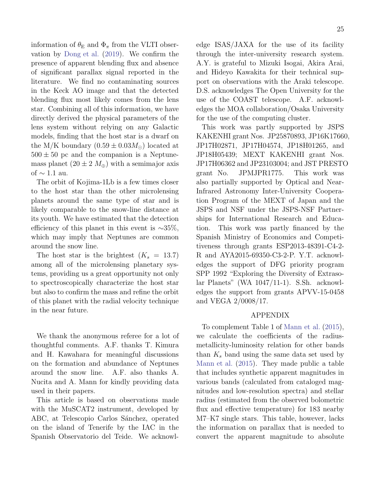information of  $\theta_{\rm E}$  and  $\Phi_{\pi}$  from the VLTI observation by [Dong et al.](#page-27-4) [\(2019\)](#page-27-4). We confirm the presence of apparent blending flux and absence of significant parallax signal reported in the literature. We find no contaminating sources in the Keck AO image and that the detected blending flux most likely comes from the lens star. Combining all of this information, we have directly derived the physical parameters of the lens system without relying on any Galactic models, finding that the host star is a dwarf on the M/K boundary  $(0.59 \pm 0.03 M_{\odot})$  located at  $500 \pm 50$  pc and the companion is a Neptunemass planet  $(20 \pm 2 \, M_{\oplus})$  with a semimajor axis of  $\sim$  1.1 au.

The orbit of Kojima-1Lb is a few times closer to the host star than the other microlensing planets around the same type of star and is likely comparable to the snow-line distance at its youth. We have estimated that the detection efficiency of this planet in this event is  $~\sim 35\%$ , which may imply that Neptunes are common around the snow line.

The host star is the brightest  $(K_s = 13.7)$ among all of the microlensing planetary systems, providing us a great opportunity not only to spectroscopically characterize the host star but also to confirm the mass and refine the orbit of this planet with the radial velocity technique in the near future.

We thank the anonymous referee for a lot of thoughtful comments. A.F. thanks T. Kimura and H. Kawahara for meaningful discussions on the formation and abundance of Neptunes around the snow line. A.F. also thanks A. Nucita and A. Mann for kindly providing data used in their papers.

This article is based on observations made with the MuSCAT2 instrument, developed by ABC, at Telescopio Carlos Sánchez, operated on the island of Tenerife by the IAC in the Spanish Observatorio del Teide. We acknowledge ISAS/JAXA for the use of its facility through the inter-university research system. A.Y. is grateful to Mizuki Isogai, Akira Arai, and Hideyo Kawakita for their technical support on observations with the Araki telescope. D.S. acknowledges The Open University for the use of the COAST telescope. A.F. acknowledges the MOA collaboration/Osaka University for the use of the computing cluster.

This work was partly supported by JSPS KAKENHI grant Nos. JP25870893, JP16K17660, JP17H02871, JP17H04574, JP18H01265, and JP18H05439; MEXT KAKENHI grant Nos. JP17H06362 and JP23103004; and JST PRESTO grant No. JPMJPR1775. This work was also partially supported by Optical and Near-Infrared Astronomy Inter-University Cooperation Program of the MEXT of Japan and the JSPS and NSF under the JSPS-NSF Partnerships for International Research and Education. This work was partly financed by the Spanish Ministry of Economics and Competitiveness through grants ESP2013-48391-C4-2- R and AYA2015-69350-C3-2-P. Y.T. acknowledges the support of DFG priority program SPP 1992 "Exploring the Diversity of Extrasolar Planets" (WA 1047/11-1). S.Sh. acknowledges the support from grants APVV-15-0458 and VEGA 2/0008/17.

## APPENDIX

To complement Table 1 of [Mann et al.](#page-28-21) [\(2015](#page-28-21)), we calculate the coefficients of the radiusmetallicity-luminosity relation for other bands than  $K_s$  band using the same data set used by [Mann et al.](#page-28-21) [\(2015\)](#page-28-21). They made public a table that includes synthetic apparent magnitudes in various bands (calculated from cataloged magnitudes and low-resolution spectra) and stellar radius (estimated from the observed bolometric flux and effective temperature) for 183 nearby M7–K7 single stars. This table, however, lacks the information on parallax that is needed to convert the apparent magnitude to absolute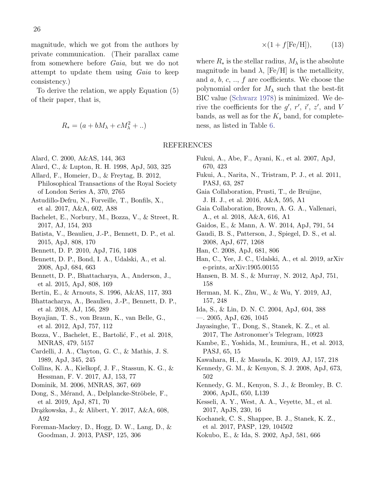magnitude, which we got from the authors by private communication. (Their parallax came from somewhere before Gaia, but we do not attempt to update them using *Gaia* to keep consistency.)

To derive the relation, we apply Equation (5) of their paper, that is,

$$
R_* = (a + bM_{\lambda} + cM_{\lambda}^2 + ..)
$$

- <span id="page-27-9"></span>Alard, C. 2000, A&AS, 144, 363
- <span id="page-27-8"></span>Alard, C., & Lupton, R. H. 1998, ApJ, 503, 325
- <span id="page-27-19"></span>Allard, F., Homeier, D., & Freytag, B. 2012, Philosophical Transactions of the Royal Society of London Series A, 370, 2765
- <span id="page-27-23"></span>Astudillo-Defru, N., Forveille, T., Bonfils, X., et al. 2017, A&A, 602, A88
- <span id="page-27-12"></span>Bachelet, E., Norbury, M., Bozza, V., & Street, R. 2017, AJ, 154, 203
- <span id="page-27-35"></span>Batista, V., Beaulieu, J.-P., Bennett, D. P., et al. 2015, ApJ, 808, 170
- <span id="page-27-13"></span>Bennett, D. P. 2010, ApJ, 716, 1408
- <span id="page-27-1"></span>Bennett, D. P., Bond, I. A., Udalski, A., et al. 2008, ApJ, 684, 663
- <span id="page-27-36"></span>Bennett, D. P., Bhattacharya, A., Anderson, J., et al. 2015, ApJ, 808, 169
- <span id="page-27-6"></span>Bertin, E., & Arnouts, S. 1996, A&AS, 117, 393
- <span id="page-27-37"></span>Bhattacharya, A., Beaulieu, J.-P., Bennett, D. P., et al. 2018, AJ, 156, 289
- <span id="page-27-21"></span>Boyajian, T. S., von Braun, K., van Belle, G., et al. 2012, ApJ, 757, 112
- <span id="page-27-14"></span>Bozza, V., Bachelet, E., Bartolić, F., et al. 2018, MNRAS, 479, 5157
- <span id="page-27-18"></span>Cardelli, J. A., Clayton, G. C., & Mathis, J. S. 1989, ApJ, 345, 245
- <span id="page-27-7"></span>Collins, K. A., Kielkopf, J. F., Stassun, K. G., & Hessman, F. V. 2017, AJ, 153, 77
- <span id="page-27-30"></span>Dominik, M. 2006, MNRAS, 367, 669
- <span id="page-27-4"></span>Dong, S., Mérand, A., Delplancke-Ströbele, F., et al. 2019, ApJ, 871, 70
- <span id="page-27-29"></span>Dr¸a˙zkowska, J., & Alibert, Y. 2017, A&A, 608, A92
- <span id="page-27-20"></span>Foreman-Mackey, D., Hogg, D. W., Lang, D., & Goodman, J. 2013, PASP, 125, 306

$$
\times (1 + f[\text{Fe/H}]), \tag{13}
$$

where  $R_*$  is the stellar radius,  $M_{\lambda}$  is the absolute magnitude in band  $\lambda$ , [Fe/H] is the metallicity, and  $a, b, c, \ldots, f$  are coefficients. We choose the polynomial order for  $M_{\lambda}$  such that the best-fit BIC value [\(Schwarz 1978](#page-28-31)) is minimized. We derive the coefficients for the  $g'$ ,  $r'$ ,  $i'$ ,  $z'$ , and V bands, as well as for the  $K_s$  band, for completeness, as listed in Table [6.](#page-28-32)

## REFERENCES

- <span id="page-27-31"></span>Fukui, A., Abe, F., Ayani, K., et al. 2007, ApJ, 670, 423
- <span id="page-27-5"></span>Fukui, A., Narita, N., Tristram, P. J., et al. 2011, PASJ, 63, 287
- <span id="page-27-16"></span>Gaia Collaboration, Prusti, T., de Bruijne, J. H. J., et al. 2016, A&A, 595, A1
- <span id="page-27-17"></span>Gaia Collaboration, Brown, A. G. A., Vallenari, A., et al. 2018, A&A, 616, A1
- <span id="page-27-22"></span>Gaidos, E., & Mann, A. W. 2014, ApJ, 791, 54
- <span id="page-27-32"></span>Gaudi, B. S., Patterson, J., Spiegel, D. S., et al. 2008, ApJ, 677, 1268
- <span id="page-27-2"></span>Han, C. 2008, ApJ, 681, 806
- <span id="page-27-38"></span>Han, C., Yee, J. C., Udalski, A., et al. 2019, arXiv e-prints, arXiv:1905.00155
- <span id="page-27-27"></span>Hansen, B. M. S., & Murray, N. 2012, ApJ, 751, 158
- <span id="page-27-34"></span>Herman, M. K., Zhu, W., & Wu, Y. 2019, AJ, 157, 248
- <span id="page-27-0"></span>Ida, S., & Lin, D. N. C. 2004, ApJ, 604, 388
- <span id="page-27-26"></span>—. 2005, ApJ, 626, 1045
- <span id="page-27-3"></span>Jayasinghe, T., Dong, S., Stanek, K. Z., et al. 2017, The Astronomer's Telegram, 10923
- <span id="page-27-10"></span>Kambe, E., Yoshida, M., Izumiura, H., et al. 2013, PASJ, 65, 15
- <span id="page-27-33"></span>Kawahara, H., & Masuda, K. 2019, AJ, 157, 218
- <span id="page-27-25"></span>Kennedy, G. M., & Kenyon, S. J. 2008, ApJ, 673, 502
- <span id="page-27-24"></span>Kennedy, G. M., Kenyon, S. J., & Bromley, B. C. 2006, ApJL, 650, L139
- <span id="page-27-15"></span>Kesseli, A. Y., West, A. A., Veyette, M., et al. 2017, ApJS, 230, 16
- <span id="page-27-11"></span>Kochanek, C. S., Shappee, B. J., Stanek, K. Z., et al. 2017, PASP, 129, 104502
- <span id="page-27-28"></span>Kokubo, E., & Ida, S. 2002, ApJ, 581, 666